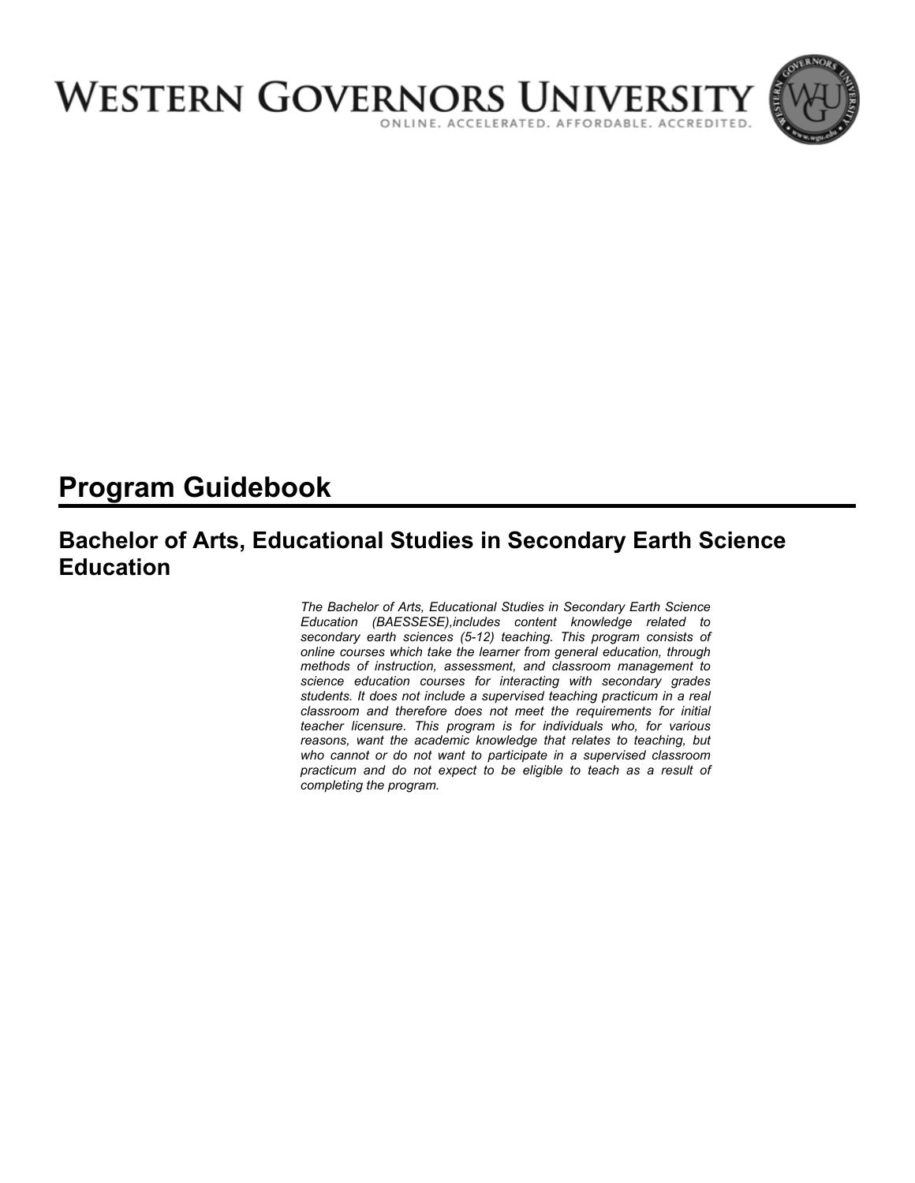

# **Program Guidebook**

## **Bachelor of Arts, Educational Studies in Secondary Earth Science Education**

*The Bachelor of Arts, Educational Studies in Secondary Earth Science Education (BAESSESE),includes content knowledge related to secondary earth sciences (5-12) teaching. This program consists of online courses which take the learner from general education, through methods of instruction, assessment, and classroom management to science education courses for interacting with secondary grades students. It does not include a supervised teaching practicum in a real classroom and therefore does not meet the requirements for initial teacher licensure. This program is for individuals who, for various reasons, want the academic knowledge that relates to teaching, but who cannot or do not want to participate in a supervised classroom practicum and do not expect to be eligible to teach as a result of completing the program.*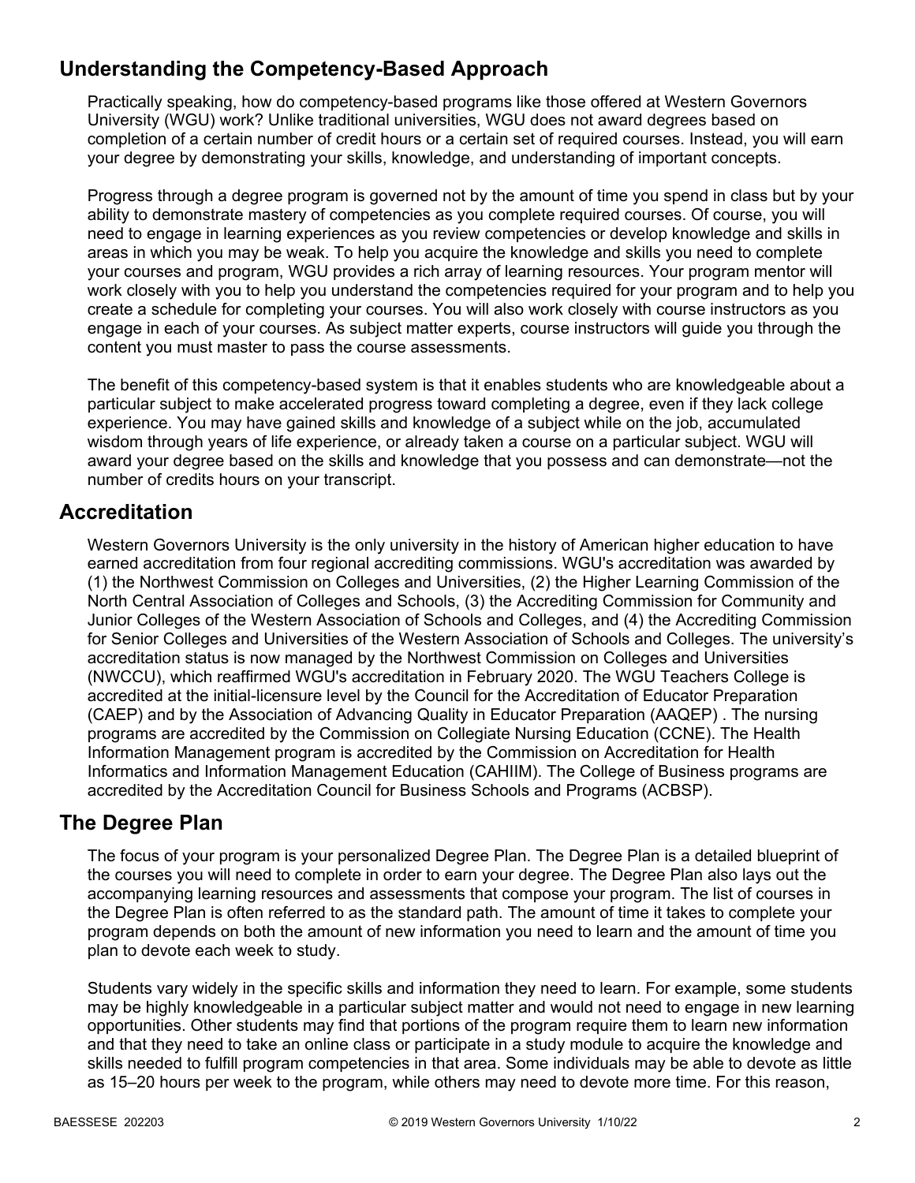## **Understanding the Competency-Based Approach**

Practically speaking, how do competency-based programs like those offered at Western Governors University (WGU) work? Unlike traditional universities, WGU does not award degrees based on completion of a certain number of credit hours or a certain set of required courses. Instead, you will earn your degree by demonstrating your skills, knowledge, and understanding of important concepts.

Progress through a degree program is governed not by the amount of time you spend in class but by your ability to demonstrate mastery of competencies as you complete required courses. Of course, you will need to engage in learning experiences as you review competencies or develop knowledge and skills in areas in which you may be weak. To help you acquire the knowledge and skills you need to complete your courses and program, WGU provides a rich array of learning resources. Your program mentor will work closely with you to help you understand the competencies required for your program and to help you create a schedule for completing your courses. You will also work closely with course instructors as you engage in each of your courses. As subject matter experts, course instructors will guide you through the content you must master to pass the course assessments.

The benefit of this competency-based system is that it enables students who are knowledgeable about a particular subject to make accelerated progress toward completing a degree, even if they lack college experience. You may have gained skills and knowledge of a subject while on the job, accumulated wisdom through years of life experience, or already taken a course on a particular subject. WGU will award your degree based on the skills and knowledge that you possess and can demonstrate—not the number of credits hours on your transcript.

## **Accreditation**

Western Governors University is the only university in the history of American higher education to have earned accreditation from four regional accrediting commissions. WGU's accreditation was awarded by (1) the Northwest Commission on Colleges and Universities, (2) the Higher Learning Commission of the North Central Association of Colleges and Schools, (3) the Accrediting Commission for Community and Junior Colleges of the Western Association of Schools and Colleges, and (4) the Accrediting Commission for Senior Colleges and Universities of the Western Association of Schools and Colleges. The university's accreditation status is now managed by the Northwest Commission on Colleges and Universities (NWCCU), which reaffirmed WGU's accreditation in February 2020. The WGU Teachers College is accredited at the initial-licensure level by the Council for the Accreditation of Educator Preparation (CAEP) and by the Association of Advancing Quality in Educator Preparation (AAQEP) . The nursing programs are accredited by the Commission on Collegiate Nursing Education (CCNE). The Health Information Management program is accredited by the Commission on Accreditation for Health Informatics and Information Management Education (CAHIIM). The College of Business programs are accredited by the Accreditation Council for Business Schools and Programs (ACBSP).

## **The Degree Plan**

The focus of your program is your personalized Degree Plan. The Degree Plan is a detailed blueprint of the courses you will need to complete in order to earn your degree. The Degree Plan also lays out the accompanying learning resources and assessments that compose your program. The list of courses in the Degree Plan is often referred to as the standard path. The amount of time it takes to complete your program depends on both the amount of new information you need to learn and the amount of time you plan to devote each week to study.

Students vary widely in the specific skills and information they need to learn. For example, some students may be highly knowledgeable in a particular subject matter and would not need to engage in new learning opportunities. Other students may find that portions of the program require them to learn new information and that they need to take an online class or participate in a study module to acquire the knowledge and skills needed to fulfill program competencies in that area. Some individuals may be able to devote as little as 15–20 hours per week to the program, while others may need to devote more time. For this reason,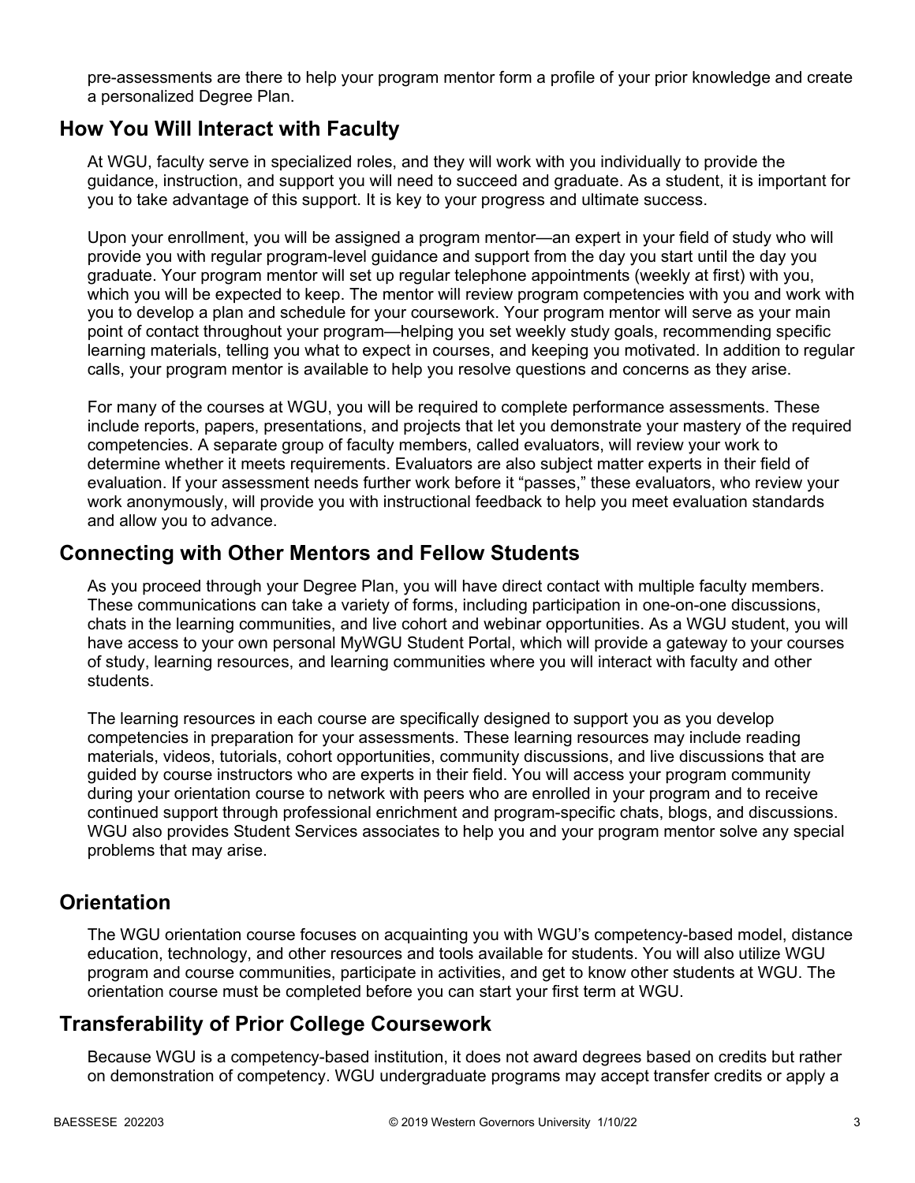pre-assessments are there to help your program mentor form a profile of your prior knowledge and create a personalized Degree Plan.

### **How You Will Interact with Faculty**

At WGU, faculty serve in specialized roles, and they will work with you individually to provide the guidance, instruction, and support you will need to succeed and graduate. As a student, it is important for you to take advantage of this support. It is key to your progress and ultimate success.

Upon your enrollment, you will be assigned a program mentor—an expert in your field of study who will provide you with regular program-level guidance and support from the day you start until the day you graduate. Your program mentor will set up regular telephone appointments (weekly at first) with you, which you will be expected to keep. The mentor will review program competencies with you and work with you to develop a plan and schedule for your coursework. Your program mentor will serve as your main point of contact throughout your program—helping you set weekly study goals, recommending specific learning materials, telling you what to expect in courses, and keeping you motivated. In addition to regular calls, your program mentor is available to help you resolve questions and concerns as they arise.

For many of the courses at WGU, you will be required to complete performance assessments. These include reports, papers, presentations, and projects that let you demonstrate your mastery of the required competencies. A separate group of faculty members, called evaluators, will review your work to determine whether it meets requirements. Evaluators are also subject matter experts in their field of evaluation. If your assessment needs further work before it "passes," these evaluators, who review your work anonymously, will provide you with instructional feedback to help you meet evaluation standards and allow you to advance.

### **Connecting with Other Mentors and Fellow Students**

As you proceed through your Degree Plan, you will have direct contact with multiple faculty members. These communications can take a variety of forms, including participation in one-on-one discussions, chats in the learning communities, and live cohort and webinar opportunities. As a WGU student, you will have access to your own personal MyWGU Student Portal, which will provide a gateway to your courses of study, learning resources, and learning communities where you will interact with faculty and other students.

The learning resources in each course are specifically designed to support you as you develop competencies in preparation for your assessments. These learning resources may include reading materials, videos, tutorials, cohort opportunities, community discussions, and live discussions that are guided by course instructors who are experts in their field. You will access your program community during your orientation course to network with peers who are enrolled in your program and to receive continued support through professional enrichment and program-specific chats, blogs, and discussions. WGU also provides Student Services associates to help you and your program mentor solve any special problems that may arise.

## **Orientation**

The WGU orientation course focuses on acquainting you with WGU's competency-based model, distance education, technology, and other resources and tools available for students. You will also utilize WGU program and course communities, participate in activities, and get to know other students at WGU. The orientation course must be completed before you can start your first term at WGU.

## **Transferability of Prior College Coursework**

Because WGU is a competency-based institution, it does not award degrees based on credits but rather on demonstration of competency. WGU undergraduate programs may accept transfer credits or apply a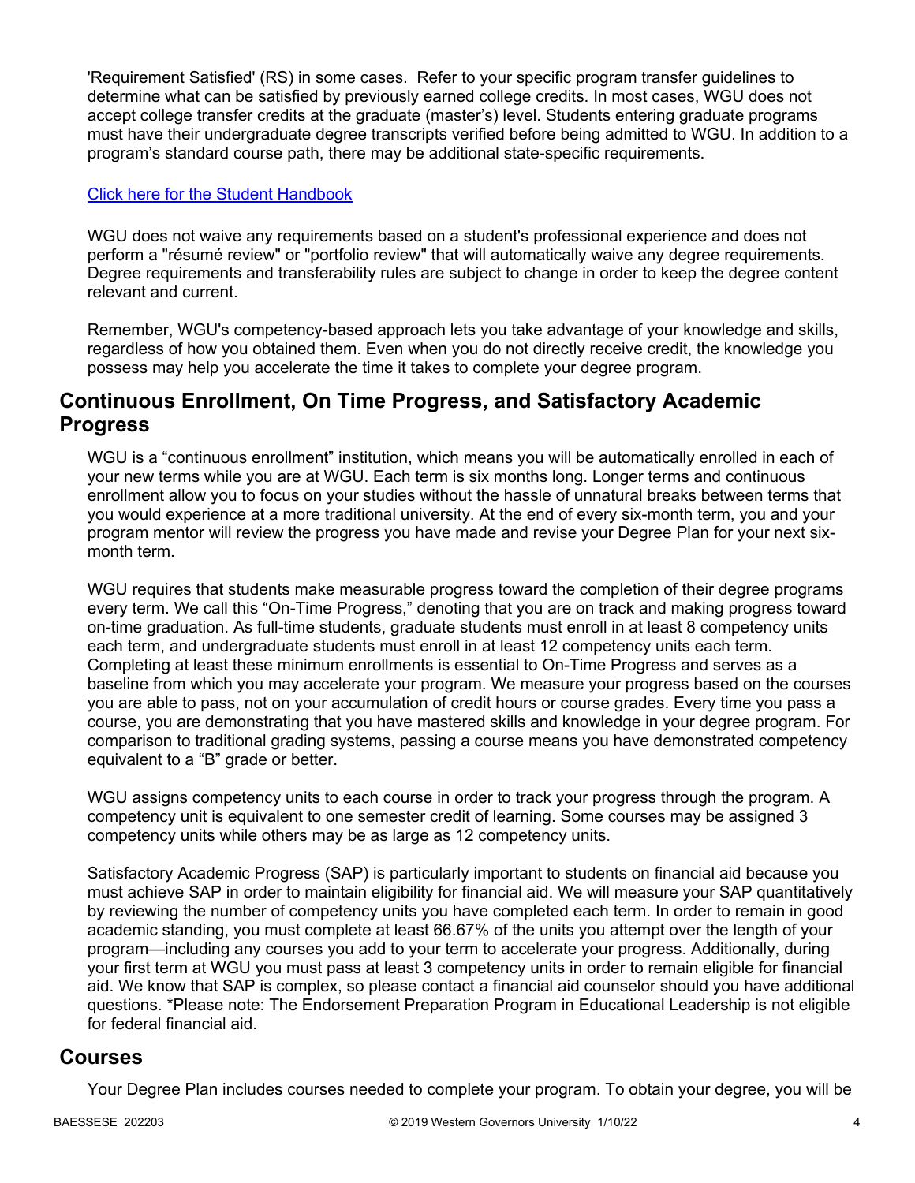'Requirement Satisfied' (RS) in some cases. Refer to your specific program transfer guidelines to determine what can be satisfied by previously earned college credits. In most cases, WGU does not accept college transfer credits at the graduate (master's) level. Students entering graduate programs must have their undergraduate degree transcripts verified before being admitted to WGU. In addition to a program's standard course path, there may be additional state-specific requirements.

#### [Click here for the Student Handbook](http://cm.wgu.edu/)

WGU does not waive any requirements based on a student's professional experience and does not perform a "résumé review" or "portfolio review" that will automatically waive any degree requirements. Degree requirements and transferability rules are subject to change in order to keep the degree content relevant and current.

Remember, WGU's competency-based approach lets you take advantage of your knowledge and skills, regardless of how you obtained them. Even when you do not directly receive credit, the knowledge you possess may help you accelerate the time it takes to complete your degree program.

### **Continuous Enrollment, On Time Progress, and Satisfactory Academic Progress**

WGU is a "continuous enrollment" institution, which means you will be automatically enrolled in each of your new terms while you are at WGU. Each term is six months long. Longer terms and continuous enrollment allow you to focus on your studies without the hassle of unnatural breaks between terms that you would experience at a more traditional university. At the end of every six-month term, you and your program mentor will review the progress you have made and revise your Degree Plan for your next sixmonth term.

WGU requires that students make measurable progress toward the completion of their degree programs every term. We call this "On-Time Progress," denoting that you are on track and making progress toward on-time graduation. As full-time students, graduate students must enroll in at least 8 competency units each term, and undergraduate students must enroll in at least 12 competency units each term. Completing at least these minimum enrollments is essential to On-Time Progress and serves as a baseline from which you may accelerate your program. We measure your progress based on the courses you are able to pass, not on your accumulation of credit hours or course grades. Every time you pass a course, you are demonstrating that you have mastered skills and knowledge in your degree program. For comparison to traditional grading systems, passing a course means you have demonstrated competency equivalent to a "B" grade or better.

WGU assigns competency units to each course in order to track your progress through the program. A competency unit is equivalent to one semester credit of learning. Some courses may be assigned 3 competency units while others may be as large as 12 competency units.

Satisfactory Academic Progress (SAP) is particularly important to students on financial aid because you must achieve SAP in order to maintain eligibility for financial aid. We will measure your SAP quantitatively by reviewing the number of competency units you have completed each term. In order to remain in good academic standing, you must complete at least 66.67% of the units you attempt over the length of your program—including any courses you add to your term to accelerate your progress. Additionally, during your first term at WGU you must pass at least 3 competency units in order to remain eligible for financial aid. We know that SAP is complex, so please contact a financial aid counselor should you have additional questions. \*Please note: The Endorsement Preparation Program in Educational Leadership is not eligible for federal financial aid.

### **Courses**

Your Degree Plan includes courses needed to complete your program. To obtain your degree, you will be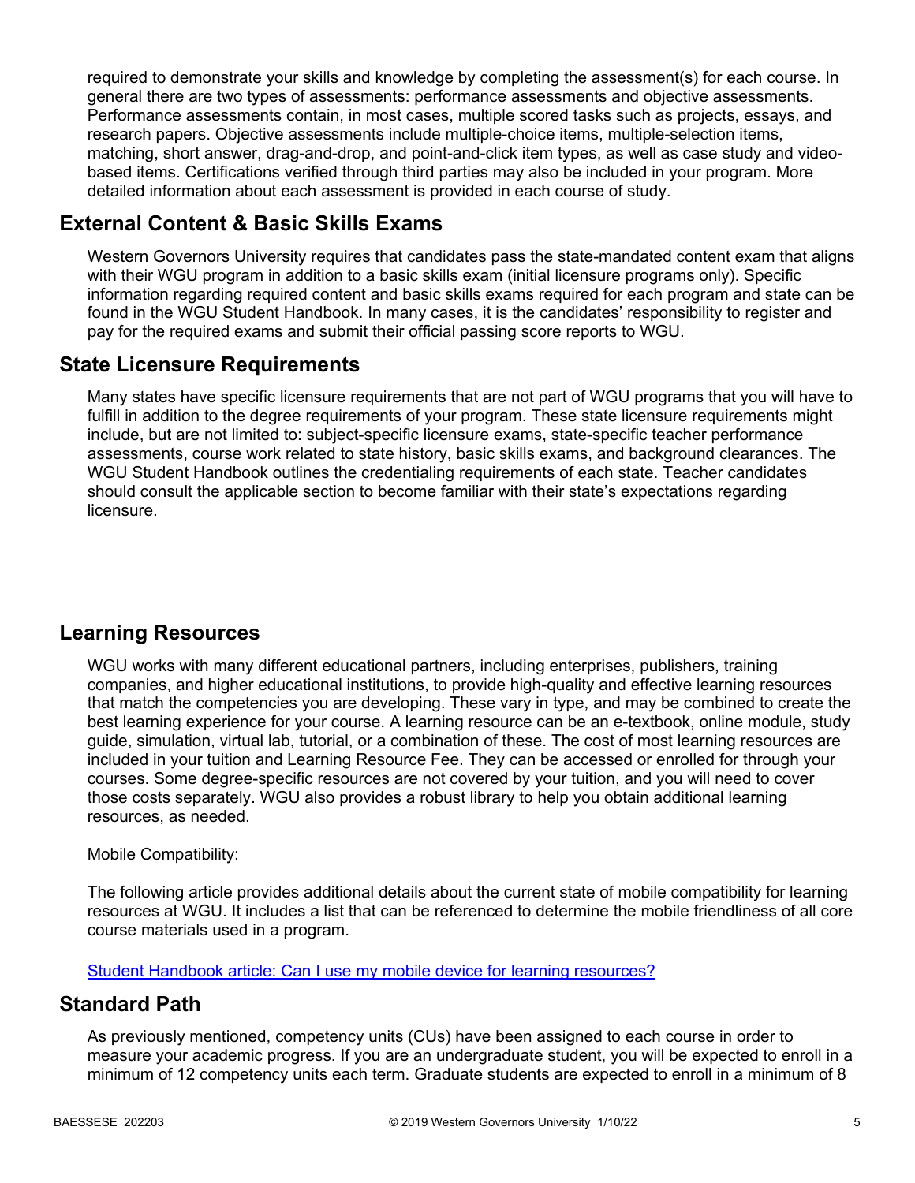required to demonstrate your skills and knowledge by completing the assessment(s) for each course. In general there are two types of assessments: performance assessments and objective assessments. Performance assessments contain, in most cases, multiple scored tasks such as projects, essays, and research papers. Objective assessments include multiple-choice items, multiple-selection items, matching, short answer, drag-and-drop, and point-and-click item types, as well as case study and videobased items. Certifications verified through third parties may also be included in your program. More detailed information about each assessment is provided in each course of study.

## **External Content & Basic Skills Exams**

Western Governors University requires that candidates pass the state-mandated content exam that aligns with their WGU program in addition to a basic skills exam (initial licensure programs only). Specific information regarding required content and basic skills exams required for each program and state can be found in the WGU Student Handbook. In many cases, it is the candidates' responsibility to register and pay for the required exams and submit their official passing score reports to WGU.

## **State Licensure Requirements**

Many states have specific licensure requirements that are not part of WGU programs that you will have to fulfill in addition to the degree requirements of your program. These state licensure requirements might include, but are not limited to: subject-specific licensure exams, state-specific teacher performance assessments, course work related to state history, basic skills exams, and background clearances. The WGU Student Handbook outlines the credentialing requirements of each state. Teacher candidates should consult the applicable section to become familiar with their state's expectations regarding licensure.

## **Learning Resources**

WGU works with many different educational partners, including enterprises, publishers, training companies, and higher educational institutions, to provide high-quality and effective learning resources that match the competencies you are developing. These vary in type, and may be combined to create the best learning experience for your course. A learning resource can be an e-textbook, online module, study guide, simulation, virtual lab, tutorial, or a combination of these. The cost of most learning resources are included in your tuition and Learning Resource Fee. They can be accessed or enrolled for through your courses. Some degree-specific resources are not covered by your tuition, and you will need to cover those costs separately. WGU also provides a robust library to help you obtain additional learning resources, as needed.

### Mobile Compatibility:

The following article provides additional details about the current state of mobile compatibility for learning resources at WGU. It includes a list that can be referenced to determine the mobile friendliness of all core course materials used in a program.

[Student Handbook article: Can I use my mobile device for learning resources?](https://cm.wgu.edu/t5/Frequently-Asked-Questions/Can-I-use-my-mobile-device-for-learning-resources/ta-p/396)

## **Standard Path**

As previously mentioned, competency units (CUs) have been assigned to each course in order to measure your academic progress. If you are an undergraduate student, you will be expected to enroll in a minimum of 12 competency units each term. Graduate students are expected to enroll in a minimum of 8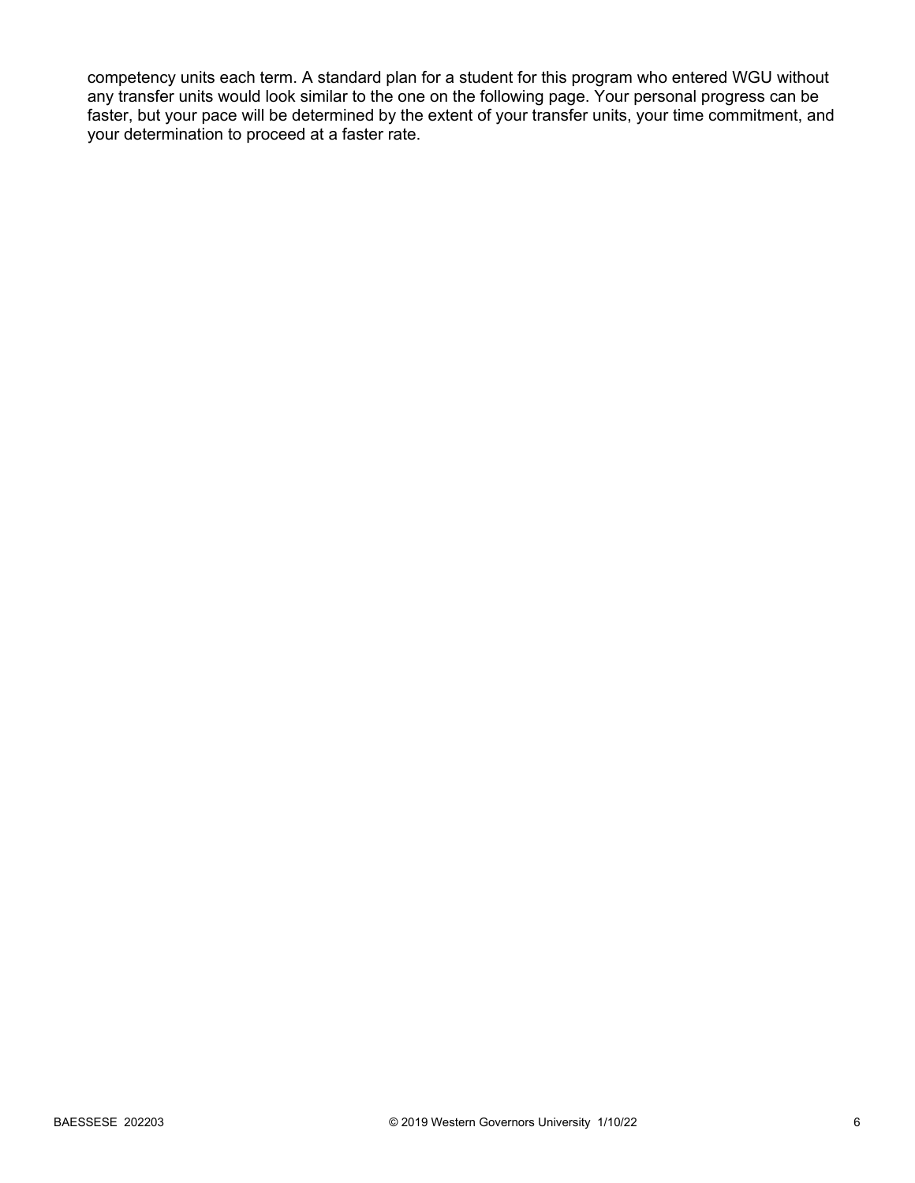competency units each term. A standard plan for a student for this program who entered WGU without any transfer units would look similar to the one on the following page. Your personal progress can be faster, but your pace will be determined by the extent of your transfer units, your time commitment, and your determination to proceed at a faster rate.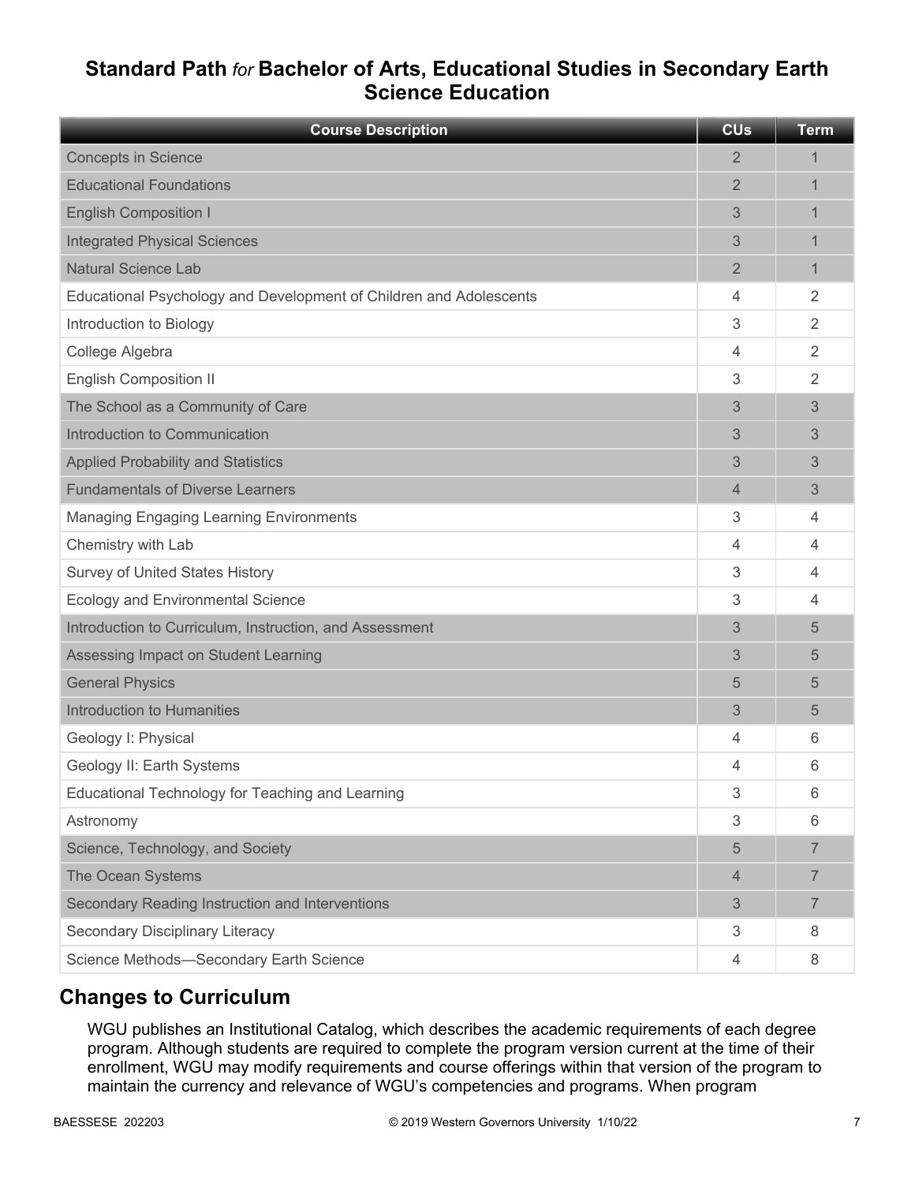## **Standard Path** *for* **Bachelor of Arts, Educational Studies in Secondary Earth Science Education**

| <b>Course Description</b>                                          | <b>CU<sub>s</sub></b> | <b>Term</b>    |
|--------------------------------------------------------------------|-----------------------|----------------|
| <b>Concepts in Science</b>                                         | 2                     | 1              |
| <b>Educational Foundations</b>                                     | $\overline{2}$        | 1              |
| <b>English Composition I</b>                                       | 3                     | 1              |
| <b>Integrated Physical Sciences</b>                                | 3                     | 1              |
| <b>Natural Science Lab</b>                                         | $\overline{2}$        | 1              |
| Educational Psychology and Development of Children and Adolescents | 4                     | $\overline{2}$ |
| Introduction to Biology                                            | 3                     | $\overline{2}$ |
| College Algebra                                                    | 4                     | $\overline{2}$ |
| <b>English Composition II</b>                                      | 3                     | 2              |
| The School as a Community of Care                                  | 3                     | 3              |
| Introduction to Communication                                      | 3                     | 3              |
| <b>Applied Probability and Statistics</b>                          | 3                     | 3              |
| <b>Fundamentals of Diverse Learners</b>                            | 4                     | 3              |
| <b>Managing Engaging Learning Environments</b>                     | 3                     | 4              |
| Chemistry with Lab                                                 | 4                     | 4              |
| <b>Survey of United States History</b>                             | 3                     | 4              |
| <b>Ecology and Environmental Science</b>                           | 3                     | 4              |
| Introduction to Curriculum, Instruction, and Assessment            | 3                     | 5              |
| Assessing Impact on Student Learning                               | 3                     | 5              |
| <b>General Physics</b>                                             | 5                     | 5              |
| Introduction to Humanities                                         | 3                     | 5              |
| Geology I: Physical                                                | 4                     | 6              |
| Geology II: Earth Systems                                          | 4                     | 6              |
| Educational Technology for Teaching and Learning                   | 3                     | 6              |
| Astronomy                                                          | 3                     | 6              |
| Science, Technology, and Society                                   | 5                     | $\overline{7}$ |
| The Ocean Systems                                                  | 4                     | 7              |
| Secondary Reading Instruction and Interventions                    | 3                     | $\overline{7}$ |
| Secondary Disciplinary Literacy                                    | 3                     | 8              |
| Science Methods-Secondary Earth Science                            | 4                     | 8              |

## **Changes to Curriculum**

WGU publishes an Institutional Catalog, which describes the academic requirements of each degree program. Although students are required to complete the program version current at the time of their enrollment, WGU may modify requirements and course offerings within that version of the program to maintain the currency and relevance of WGU's competencies and programs. When program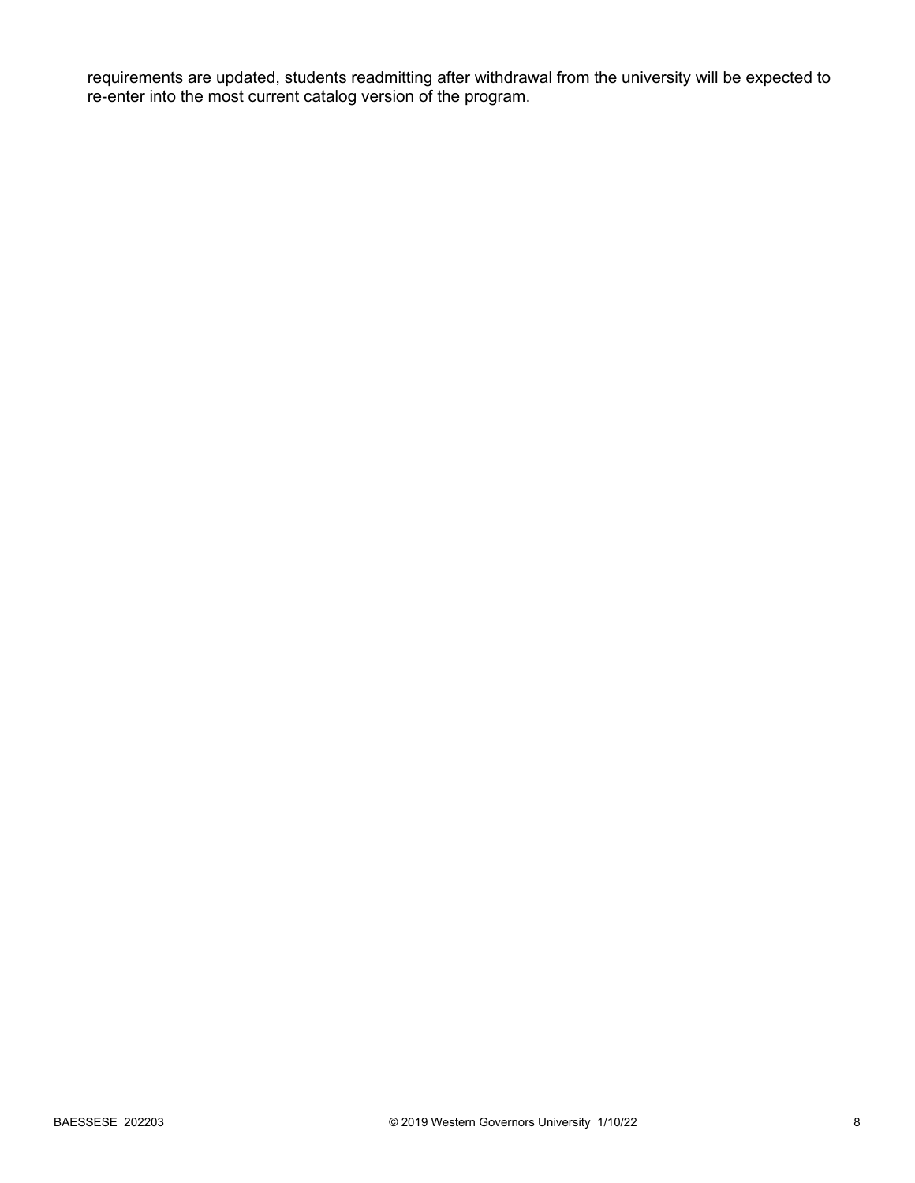requirements are updated, students readmitting after withdrawal from the university will be expected to re-enter into the most current catalog version of the program.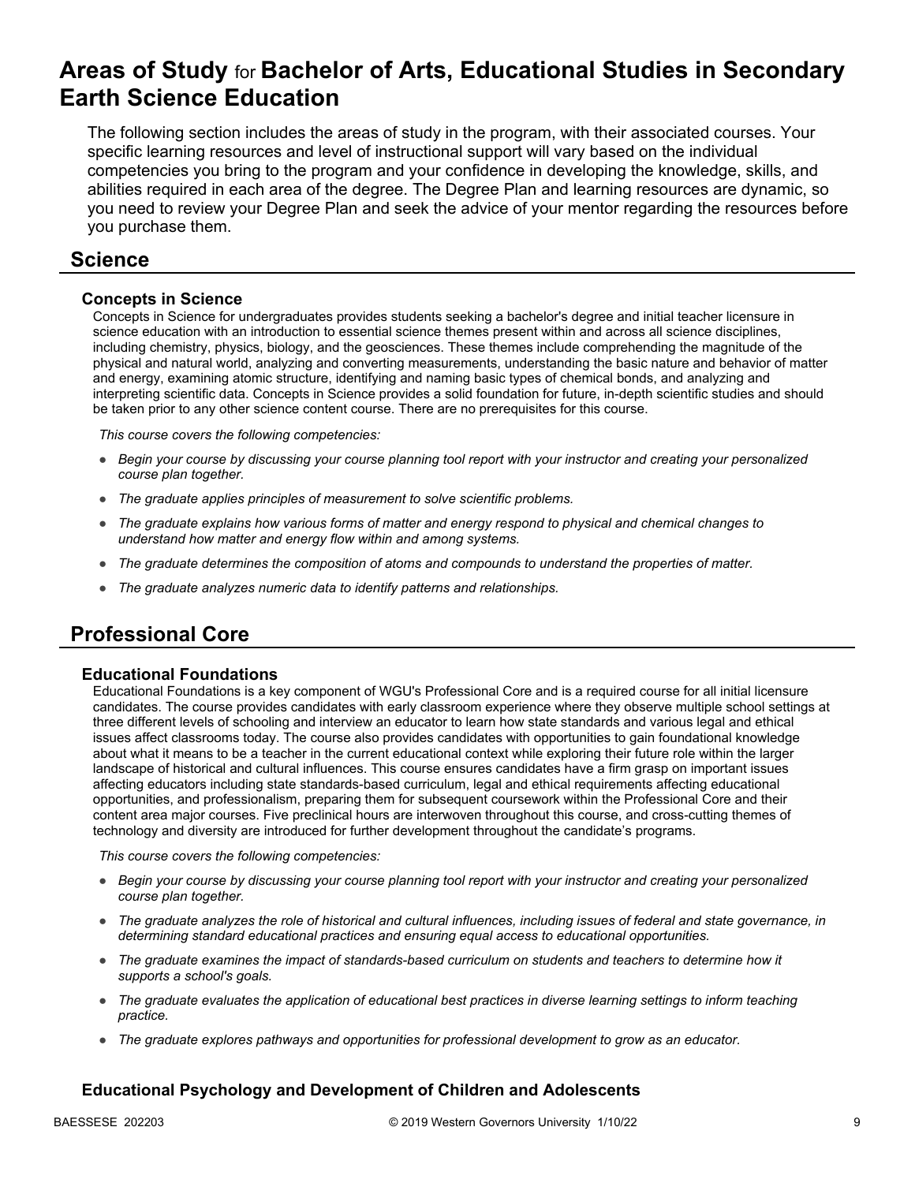## **Areas of Study** for **Bachelor of Arts, Educational Studies in Secondary Earth Science Education**

The following section includes the areas of study in the program, with their associated courses. Your specific learning resources and level of instructional support will vary based on the individual competencies you bring to the program and your confidence in developing the knowledge, skills, and abilities required in each area of the degree. The Degree Plan and learning resources are dynamic, so you need to review your Degree Plan and seek the advice of your mentor regarding the resources before you purchase them.

### **Science**

#### **Concepts in Science**

Concepts in Science for undergraduates provides students seeking a bachelor's degree and initial teacher licensure in science education with an introduction to essential science themes present within and across all science disciplines, including chemistry, physics, biology, and the geosciences. These themes include comprehending the magnitude of the physical and natural world, analyzing and converting measurements, understanding the basic nature and behavior of matter and energy, examining atomic structure, identifying and naming basic types of chemical bonds, and analyzing and interpreting scientific data. Concepts in Science provides a solid foundation for future, in-depth scientific studies and should be taken prior to any other science content course. There are no prerequisites for this course.

*This course covers the following competencies:*

- *Begin your course by discussing your course planning tool report with your instructor and creating your personalized course plan together.*
- *The graduate applies principles of measurement to solve scientific problems.*
- *The graduate explains how various forms of matter and energy respond to physical and chemical changes to understand how matter and energy flow within and among systems.*
- *The graduate determines the composition of atoms and compounds to understand the properties of matter.*
- *The graduate analyzes numeric data to identify patterns and relationships.*

## **Professional Core**

#### **Educational Foundations**

Educational Foundations is a key component of WGU's Professional Core and is a required course for all initial licensure candidates. The course provides candidates with early classroom experience where they observe multiple school settings at three different levels of schooling and interview an educator to learn how state standards and various legal and ethical issues affect classrooms today. The course also provides candidates with opportunities to gain foundational knowledge about what it means to be a teacher in the current educational context while exploring their future role within the larger landscape of historical and cultural influences. This course ensures candidates have a firm grasp on important issues affecting educators including state standards-based curriculum, legal and ethical requirements affecting educational opportunities, and professionalism, preparing them for subsequent coursework within the Professional Core and their content area major courses. Five preclinical hours are interwoven throughout this course, and cross-cutting themes of technology and diversity are introduced for further development throughout the candidate's programs.

*This course covers the following competencies:*

- *Begin your course by discussing your course planning tool report with your instructor and creating your personalized course plan together.*
- *The graduate analyzes the role of historical and cultural influences, including issues of federal and state governance, in determining standard educational practices and ensuring equal access to educational opportunities.*
- *The graduate examines the impact of standards-based curriculum on students and teachers to determine how it supports a school's goals.*
- *The graduate evaluates the application of educational best practices in diverse learning settings to inform teaching practice.*
- *The graduate explores pathways and opportunities for professional development to grow as an educator.*

### **Educational Psychology and Development of Children and Adolescents**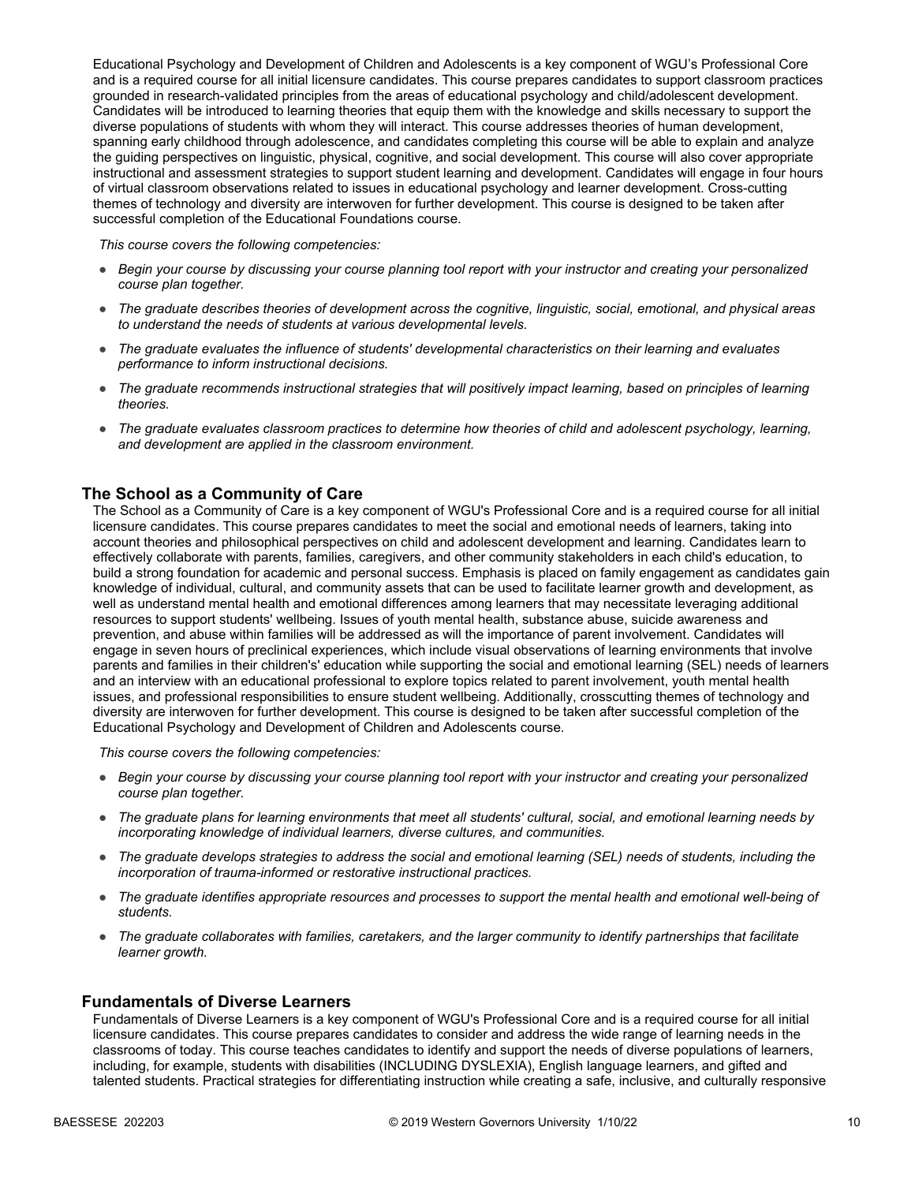Educational Psychology and Development of Children and Adolescents is a key component of WGU's Professional Core and is a required course for all initial licensure candidates. This course prepares candidates to support classroom practices grounded in research-validated principles from the areas of educational psychology and child/adolescent development. Candidates will be introduced to learning theories that equip them with the knowledge and skills necessary to support the diverse populations of students with whom they will interact. This course addresses theories of human development, spanning early childhood through adolescence, and candidates completing this course will be able to explain and analyze the guiding perspectives on linguistic, physical, cognitive, and social development. This course will also cover appropriate instructional and assessment strategies to support student learning and development. Candidates will engage in four hours of virtual classroom observations related to issues in educational psychology and learner development. Cross-cutting themes of technology and diversity are interwoven for further development. This course is designed to be taken after successful completion of the Educational Foundations course.

*This course covers the following competencies:*

- *Begin your course by discussing your course planning tool report with your instructor and creating your personalized course plan together.*
- *The graduate describes theories of development across the cognitive, linguistic, social, emotional, and physical areas to understand the needs of students at various developmental levels.*
- *The graduate evaluates the influence of students' developmental characteristics on their learning and evaluates performance to inform instructional decisions.*
- *The graduate recommends instructional strategies that will positively impact learning, based on principles of learning theories.*
- *The graduate evaluates classroom practices to determine how theories of child and adolescent psychology, learning, and development are applied in the classroom environment.*

#### **The School as a Community of Care**

The School as a Community of Care is a key component of WGU's Professional Core and is a required course for all initial licensure candidates. This course prepares candidates to meet the social and emotional needs of learners, taking into account theories and philosophical perspectives on child and adolescent development and learning. Candidates learn to effectively collaborate with parents, families, caregivers, and other community stakeholders in each child's education, to build a strong foundation for academic and personal success. Emphasis is placed on family engagement as candidates gain knowledge of individual, cultural, and community assets that can be used to facilitate learner growth and development, as well as understand mental health and emotional differences among learners that may necessitate leveraging additional resources to support students' wellbeing. Issues of youth mental health, substance abuse, suicide awareness and prevention, and abuse within families will be addressed as will the importance of parent involvement. Candidates will engage in seven hours of preclinical experiences, which include visual observations of learning environments that involve parents and families in their children's' education while supporting the social and emotional learning (SEL) needs of learners and an interview with an educational professional to explore topics related to parent involvement, youth mental health issues, and professional responsibilities to ensure student wellbeing. Additionally, crosscutting themes of technology and diversity are interwoven for further development. This course is designed to be taken after successful completion of the Educational Psychology and Development of Children and Adolescents course.

*This course covers the following competencies:*

- *Begin your course by discussing your course planning tool report with your instructor and creating your personalized course plan together.*
- *The graduate plans for learning environments that meet all students' cultural, social, and emotional learning needs by incorporating knowledge of individual learners, diverse cultures, and communities.*
- *The graduate develops strategies to address the social and emotional learning (SEL) needs of students, including the incorporation of trauma-informed or restorative instructional practices.*
- *The graduate identifies appropriate resources and processes to support the mental health and emotional well-being of students.*
- *The graduate collaborates with families, caretakers, and the larger community to identify partnerships that facilitate learner growth.*

#### **Fundamentals of Diverse Learners**

Fundamentals of Diverse Learners is a key component of WGU's Professional Core and is a required course for all initial licensure candidates. This course prepares candidates to consider and address the wide range of learning needs in the classrooms of today. This course teaches candidates to identify and support the needs of diverse populations of learners, including, for example, students with disabilities (INCLUDING DYSLEXIA), English language learners, and gifted and talented students. Practical strategies for differentiating instruction while creating a safe, inclusive, and culturally responsive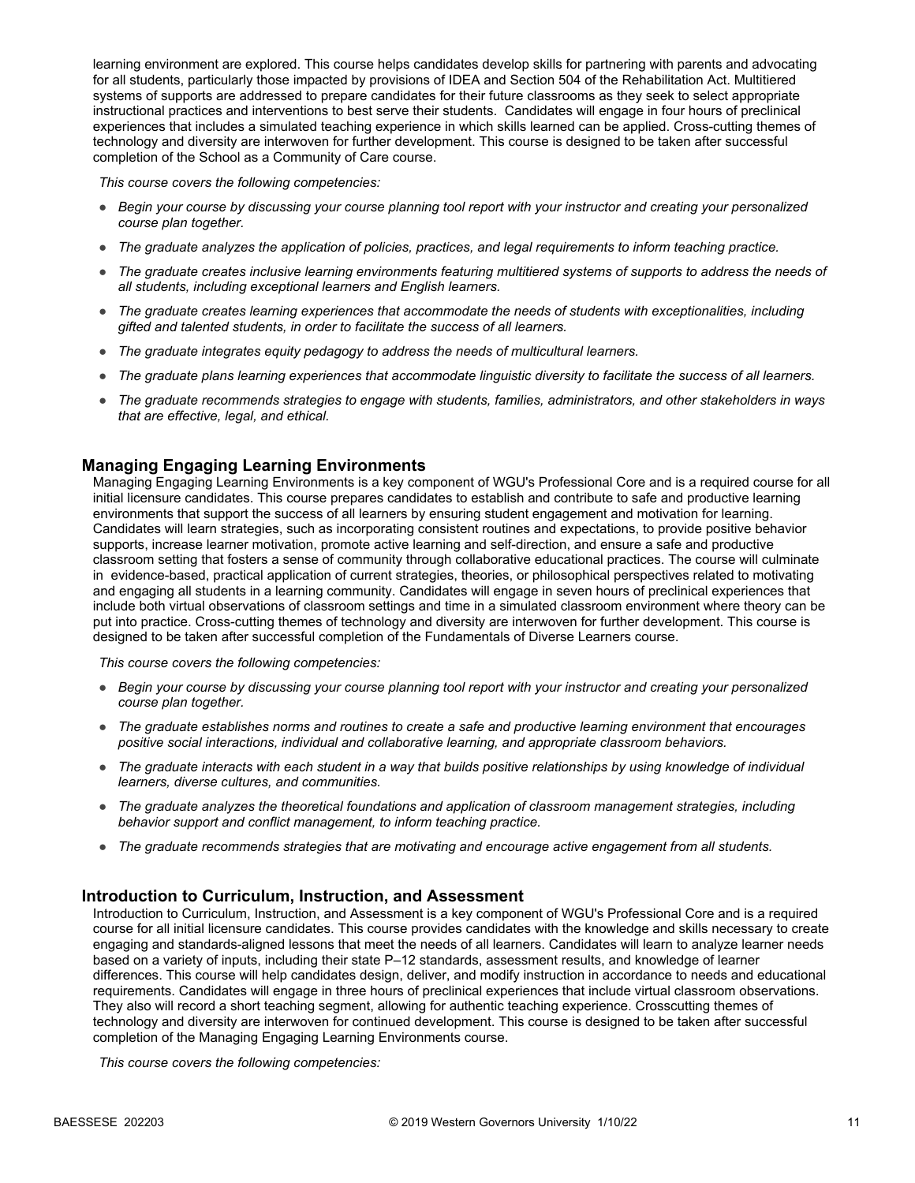learning environment are explored. This course helps candidates develop skills for partnering with parents and advocating for all students, particularly those impacted by provisions of IDEA and Section 504 of the Rehabilitation Act. Multitiered systems of supports are addressed to prepare candidates for their future classrooms as they seek to select appropriate instructional practices and interventions to best serve their students. Candidates will engage in four hours of preclinical experiences that includes a simulated teaching experience in which skills learned can be applied. Cross-cutting themes of technology and diversity are interwoven for further development. This course is designed to be taken after successful completion of the School as a Community of Care course.

*This course covers the following competencies:*

- *Begin your course by discussing your course planning tool report with your instructor and creating your personalized course plan together.*
- *The graduate analyzes the application of policies, practices, and legal requirements to inform teaching practice.*
- *The graduate creates inclusive learning environments featuring multitiered systems of supports to address the needs of all students, including exceptional learners and English learners.*
- *The graduate creates learning experiences that accommodate the needs of students with exceptionalities, including gifted and talented students, in order to facilitate the success of all learners.*
- *The graduate integrates equity pedagogy to address the needs of multicultural learners.*
- *The graduate plans learning experiences that accommodate linguistic diversity to facilitate the success of all learners.*
- *The graduate recommends strategies to engage with students, families, administrators, and other stakeholders in ways that are effective, legal, and ethical.*

#### **Managing Engaging Learning Environments**

Managing Engaging Learning Environments is a key component of WGU's Professional Core and is a required course for all initial licensure candidates. This course prepares candidates to establish and contribute to safe and productive learning environments that support the success of all learners by ensuring student engagement and motivation for learning. Candidates will learn strategies, such as incorporating consistent routines and expectations, to provide positive behavior supports, increase learner motivation, promote active learning and self-direction, and ensure a safe and productive classroom setting that fosters a sense of community through collaborative educational practices. The course will culminate in evidence-based, practical application of current strategies, theories, or philosophical perspectives related to motivating and engaging all students in a learning community. Candidates will engage in seven hours of preclinical experiences that include both virtual observations of classroom settings and time in a simulated classroom environment where theory can be put into practice. Cross-cutting themes of technology and diversity are interwoven for further development. This course is designed to be taken after successful completion of the Fundamentals of Diverse Learners course.

*This course covers the following competencies:*

- *Begin your course by discussing your course planning tool report with your instructor and creating your personalized course plan together.*
- *The graduate establishes norms and routines to create a safe and productive learning environment that encourages positive social interactions, individual and collaborative learning, and appropriate classroom behaviors.*
- *The graduate interacts with each student in a way that builds positive relationships by using knowledge of individual learners, diverse cultures, and communities.*
- *The graduate analyzes the theoretical foundations and application of classroom management strategies, including behavior support and conflict management, to inform teaching practice.*
- *The graduate recommends strategies that are motivating and encourage active engagement from all students.*

#### **Introduction to Curriculum, Instruction, and Assessment**

Introduction to Curriculum, Instruction, and Assessment is a key component of WGU's Professional Core and is a required course for all initial licensure candidates. This course provides candidates with the knowledge and skills necessary to create engaging and standards-aligned lessons that meet the needs of all learners. Candidates will learn to analyze learner needs based on a variety of inputs, including their state P–12 standards, assessment results, and knowledge of learner differences. This course will help candidates design, deliver, and modify instruction in accordance to needs and educational requirements. Candidates will engage in three hours of preclinical experiences that include virtual classroom observations. They also will record a short teaching segment, allowing for authentic teaching experience. Crosscutting themes of technology and diversity are interwoven for continued development. This course is designed to be taken after successful completion of the Managing Engaging Learning Environments course.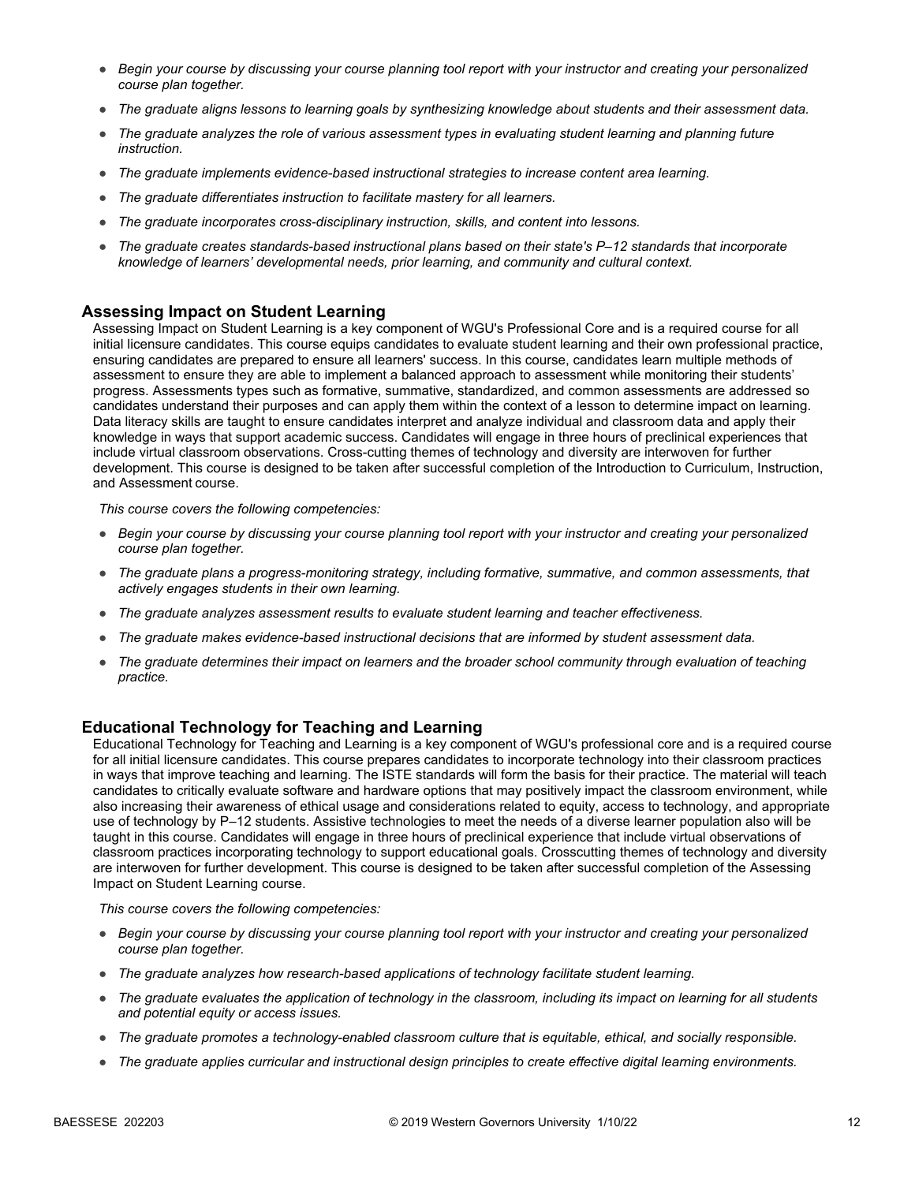- *Begin your course by discussing your course planning tool report with your instructor and creating your personalized course plan together.*
- *The graduate aligns lessons to learning goals by synthesizing knowledge about students and their assessment data.*
- *The graduate analyzes the role of various assessment types in evaluating student learning and planning future instruction.*
- *The graduate implements evidence-based instructional strategies to increase content area learning.*
- *The graduate differentiates instruction to facilitate mastery for all learners.*
- *The graduate incorporates cross-disciplinary instruction, skills, and content into lessons.*
- *The graduate creates standards-based instructional plans based on their state's P–12 standards that incorporate knowledge of learners' developmental needs, prior learning, and community and cultural context.*

#### **Assessing Impact on Student Learning**

Assessing Impact on Student Learning is a key component of WGU's Professional Core and is a required course for all initial licensure candidates. This course equips candidates to evaluate student learning and their own professional practice, ensuring candidates are prepared to ensure all learners' success. In this course, candidates learn multiple methods of assessment to ensure they are able to implement a balanced approach to assessment while monitoring their students' progress. Assessments types such as formative, summative, standardized, and common assessments are addressed so candidates understand their purposes and can apply them within the context of a lesson to determine impact on learning. Data literacy skills are taught to ensure candidates interpret and analyze individual and classroom data and apply their knowledge in ways that support academic success. Candidates will engage in three hours of preclinical experiences that include virtual classroom observations. Cross-cutting themes of technology and diversity are interwoven for further development. This course is designed to be taken after successful completion of the Introduction to Curriculum, Instruction, and Assessment course.

*This course covers the following competencies:*

- *Begin your course by discussing your course planning tool report with your instructor and creating your personalized course plan together.*
- *The graduate plans a progress-monitoring strategy, including formative, summative, and common assessments, that actively engages students in their own learning.*
- *The graduate analyzes assessment results to evaluate student learning and teacher effectiveness.*
- *The graduate makes evidence-based instructional decisions that are informed by student assessment data.*
- *The graduate determines their impact on learners and the broader school community through evaluation of teaching practice.*

#### **Educational Technology for Teaching and Learning**

Educational Technology for Teaching and Learning is a key component of WGU's professional core and is a required course for all initial licensure candidates. This course prepares candidates to incorporate technology into their classroom practices in ways that improve teaching and learning. The ISTE standards will form the basis for their practice. The material will teach candidates to critically evaluate software and hardware options that may positively impact the classroom environment, while also increasing their awareness of ethical usage and considerations related to equity, access to technology, and appropriate use of technology by P–12 students. Assistive technologies to meet the needs of a diverse learner population also will be taught in this course. Candidates will engage in three hours of preclinical experience that include virtual observations of classroom practices incorporating technology to support educational goals. Crosscutting themes of technology and diversity are interwoven for further development. This course is designed to be taken after successful completion of the Assessing Impact on Student Learning course.

- *Begin your course by discussing your course planning tool report with your instructor and creating your personalized course plan together.*
- *The graduate analyzes how research-based applications of technology facilitate student learning.*
- *The graduate evaluates the application of technology in the classroom, including its impact on learning for all students and potential equity or access issues.*
- *The graduate promotes a technology-enabled classroom culture that is equitable, ethical, and socially responsible.*
- *The graduate applies curricular and instructional design principles to create effective digital learning environments.*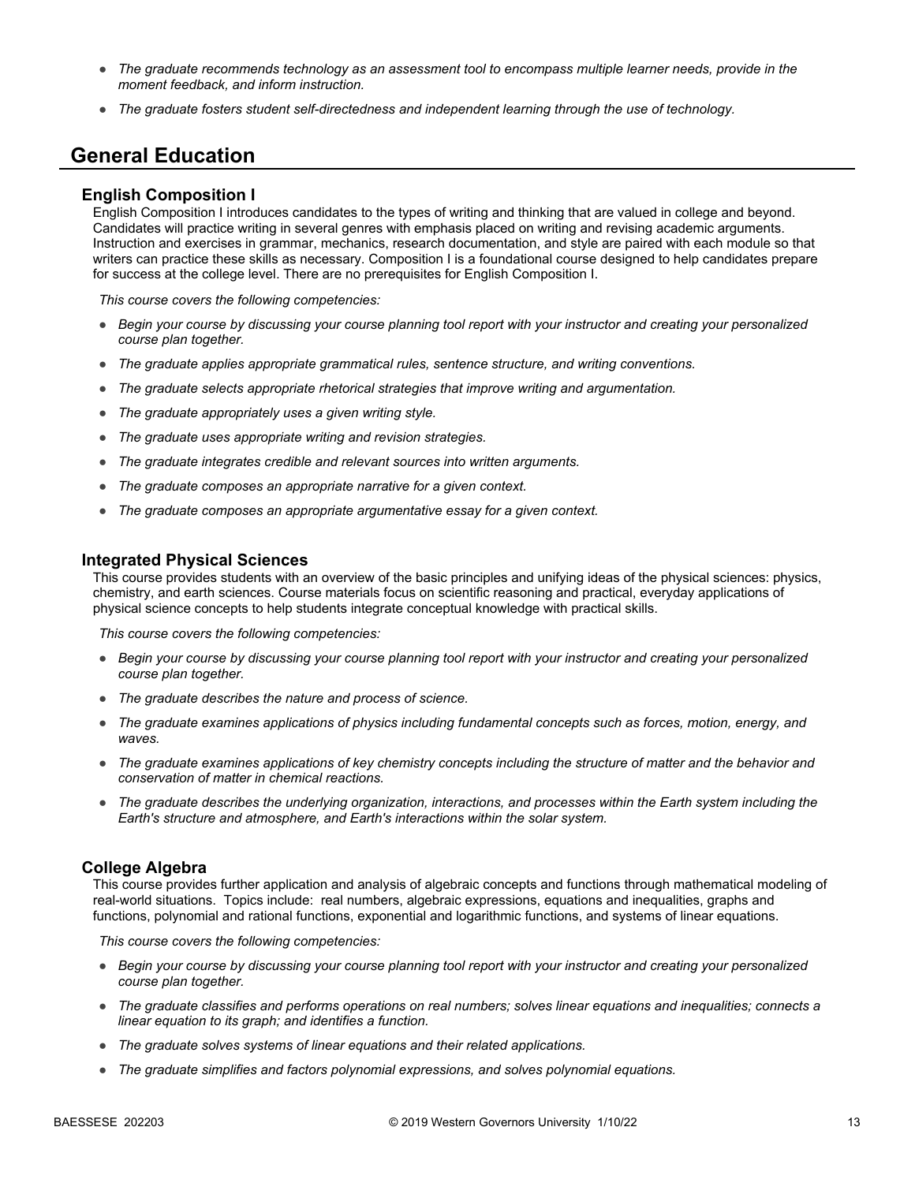- *The graduate recommends technology as an assessment tool to encompass multiple learner needs, provide in the moment feedback, and inform instruction.*
- *The graduate fosters student self-directedness and independent learning through the use of technology.*

## **General Education**

#### **English Composition I**

English Composition I introduces candidates to the types of writing and thinking that are valued in college and beyond. Candidates will practice writing in several genres with emphasis placed on writing and revising academic arguments. Instruction and exercises in grammar, mechanics, research documentation, and style are paired with each module so that writers can practice these skills as necessary. Composition I is a foundational course designed to help candidates prepare for success at the college level. There are no prerequisites for English Composition I.

*This course covers the following competencies:*

- *Begin your course by discussing your course planning tool report with your instructor and creating your personalized course plan together.*
- *The graduate applies appropriate grammatical rules, sentence structure, and writing conventions.*
- *The graduate selects appropriate rhetorical strategies that improve writing and argumentation.*
- *The graduate appropriately uses a given writing style.*
- *The graduate uses appropriate writing and revision strategies.*
- *The graduate integrates credible and relevant sources into written arguments.*
- *The graduate composes an appropriate narrative for a given context.*
- *The graduate composes an appropriate argumentative essay for a given context.*

#### **Integrated Physical Sciences**

This course provides students with an overview of the basic principles and unifying ideas of the physical sciences: physics, chemistry, and earth sciences. Course materials focus on scientific reasoning and practical, everyday applications of physical science concepts to help students integrate conceptual knowledge with practical skills.

*This course covers the following competencies:*

- *Begin your course by discussing your course planning tool report with your instructor and creating your personalized course plan together.*
- *The graduate describes the nature and process of science.*
- *The graduate examines applications of physics including fundamental concepts such as forces, motion, energy, and waves.*
- *The graduate examines applications of key chemistry concepts including the structure of matter and the behavior and conservation of matter in chemical reactions.*
- *The graduate describes the underlying organization, interactions, and processes within the Earth system including the Earth's structure and atmosphere, and Earth's interactions within the solar system.*

#### **College Algebra**

This course provides further application and analysis of algebraic concepts and functions through mathematical modeling of real-world situations. Topics include: real numbers, algebraic expressions, equations and inequalities, graphs and functions, polynomial and rational functions, exponential and logarithmic functions, and systems of linear equations.

- *Begin your course by discussing your course planning tool report with your instructor and creating your personalized course plan together.*
- *The graduate classifies and performs operations on real numbers; solves linear equations and inequalities; connects a linear equation to its graph; and identifies a function.*
- *The graduate solves systems of linear equations and their related applications.*
- *The graduate simplifies and factors polynomial expressions, and solves polynomial equations.*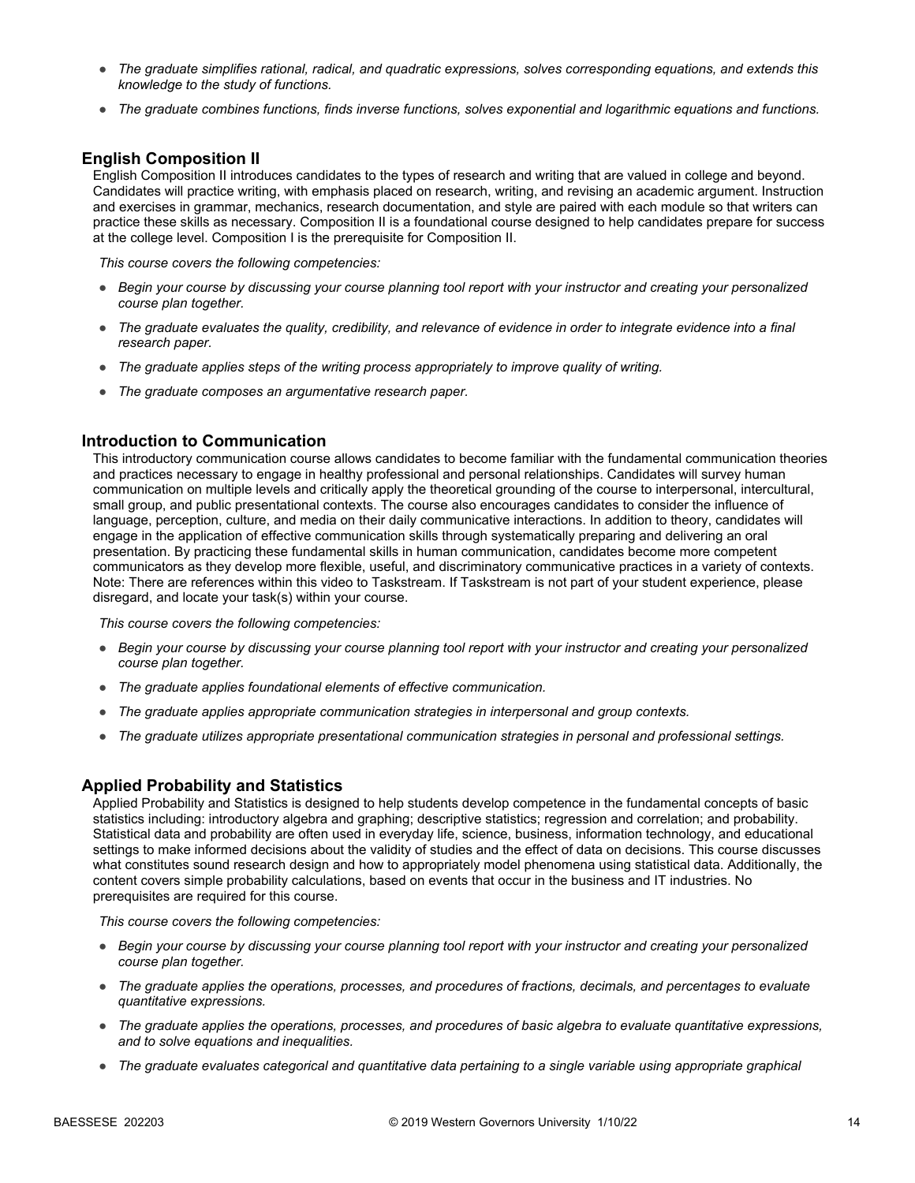- *The graduate simplifies rational, radical, and quadratic expressions, solves corresponding equations, and extends this knowledge to the study of functions.*
- *The graduate combines functions, finds inverse functions, solves exponential and logarithmic equations and functions.*

#### **English Composition II**

English Composition II introduces candidates to the types of research and writing that are valued in college and beyond. Candidates will practice writing, with emphasis placed on research, writing, and revising an academic argument. Instruction and exercises in grammar, mechanics, research documentation, and style are paired with each module so that writers can practice these skills as necessary. Composition II is a foundational course designed to help candidates prepare for success at the college level. Composition I is the prerequisite for Composition II.

*This course covers the following competencies:*

- *Begin your course by discussing your course planning tool report with your instructor and creating your personalized course plan together.*
- *The graduate evaluates the quality, credibility, and relevance of evidence in order to integrate evidence into a final research paper.*
- *The graduate applies steps of the writing process appropriately to improve quality of writing.*
- *The graduate composes an argumentative research paper.*

#### **Introduction to Communication**

This introductory communication course allows candidates to become familiar with the fundamental communication theories and practices necessary to engage in healthy professional and personal relationships. Candidates will survey human communication on multiple levels and critically apply the theoretical grounding of the course to interpersonal, intercultural, small group, and public presentational contexts. The course also encourages candidates to consider the influence of language, perception, culture, and media on their daily communicative interactions. In addition to theory, candidates will engage in the application of effective communication skills through systematically preparing and delivering an oral presentation. By practicing these fundamental skills in human communication, candidates become more competent communicators as they develop more flexible, useful, and discriminatory communicative practices in a variety of contexts. Note: There are references within this video to Taskstream. If Taskstream is not part of your student experience, please disregard, and locate your task(s) within your course.

*This course covers the following competencies:*

- *Begin your course by discussing your course planning tool report with your instructor and creating your personalized course plan together.*
- *The graduate applies foundational elements of effective communication.*
- *The graduate applies appropriate communication strategies in interpersonal and group contexts.*
- *The graduate utilizes appropriate presentational communication strategies in personal and professional settings.*

#### **Applied Probability and Statistics**

Applied Probability and Statistics is designed to help students develop competence in the fundamental concepts of basic statistics including: introductory algebra and graphing; descriptive statistics; regression and correlation; and probability. Statistical data and probability are often used in everyday life, science, business, information technology, and educational settings to make informed decisions about the validity of studies and the effect of data on decisions. This course discusses what constitutes sound research design and how to appropriately model phenomena using statistical data. Additionally, the content covers simple probability calculations, based on events that occur in the business and IT industries. No prerequisites are required for this course.

- *Begin your course by discussing your course planning tool report with your instructor and creating your personalized course plan together.*
- *The graduate applies the operations, processes, and procedures of fractions, decimals, and percentages to evaluate quantitative expressions.*
- *The graduate applies the operations, processes, and procedures of basic algebra to evaluate quantitative expressions, and to solve equations and inequalities.*
- *The graduate evaluates categorical and quantitative data pertaining to a single variable using appropriate graphical*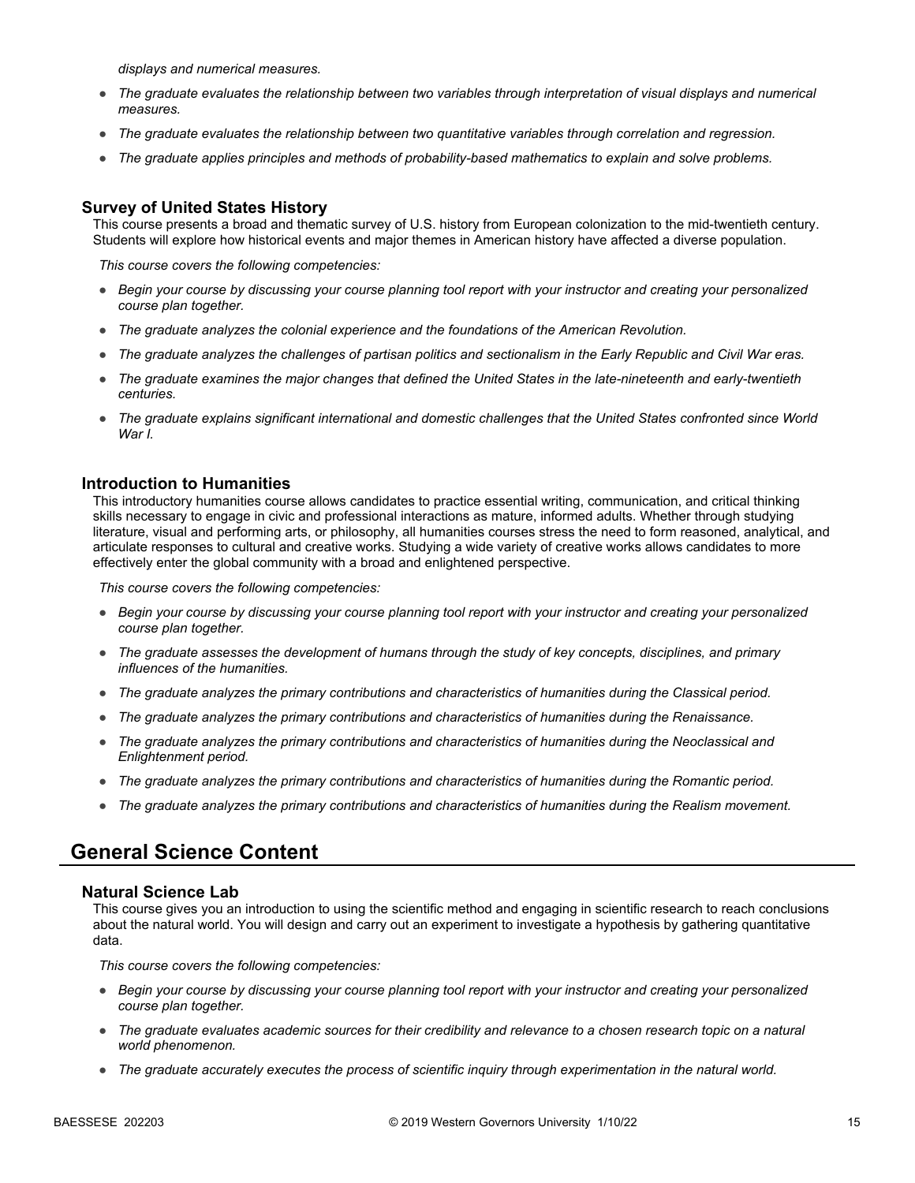*displays and numerical measures.*

- *The graduate evaluates the relationship between two variables through interpretation of visual displays and numerical measures.*
- *The graduate evaluates the relationship between two quantitative variables through correlation and regression.*
- *The graduate applies principles and methods of probability-based mathematics to explain and solve problems.*

#### **Survey of United States History**

This course presents a broad and thematic survey of U.S. history from European colonization to the mid-twentieth century. Students will explore how historical events and major themes in American history have affected a diverse population.

*This course covers the following competencies:*

- *Begin your course by discussing your course planning tool report with your instructor and creating your personalized course plan together.*
- *The graduate analyzes the colonial experience and the foundations of the American Revolution.*
- *The graduate analyzes the challenges of partisan politics and sectionalism in the Early Republic and Civil War eras.*
- *The graduate examines the major changes that defined the United States in the late-nineteenth and early-twentieth centuries.*
- *The graduate explains significant international and domestic challenges that the United States confronted since World War I.*

#### **Introduction to Humanities**

This introductory humanities course allows candidates to practice essential writing, communication, and critical thinking skills necessary to engage in civic and professional interactions as mature, informed adults. Whether through studying literature, visual and performing arts, or philosophy, all humanities courses stress the need to form reasoned, analytical, and articulate responses to cultural and creative works. Studying a wide variety of creative works allows candidates to more effectively enter the global community with a broad and enlightened perspective.

*This course covers the following competencies:*

- *Begin your course by discussing your course planning tool report with your instructor and creating your personalized course plan together.*
- *The graduate assesses the development of humans through the study of key concepts, disciplines, and primary influences of the humanities.*
- *The graduate analyzes the primary contributions and characteristics of humanities during the Classical period.*
- *The graduate analyzes the primary contributions and characteristics of humanities during the Renaissance.*
- *The graduate analyzes the primary contributions and characteristics of humanities during the Neoclassical and Enlightenment period.*
- *The graduate analyzes the primary contributions and characteristics of humanities during the Romantic period.*
- *The graduate analyzes the primary contributions and characteristics of humanities during the Realism movement.*

### **General Science Content**

#### **Natural Science Lab**

This course gives you an introduction to using the scientific method and engaging in scientific research to reach conclusions about the natural world. You will design and carry out an experiment to investigate a hypothesis by gathering quantitative data.

- *Begin your course by discussing your course planning tool report with your instructor and creating your personalized course plan together.*
- *The graduate evaluates academic sources for their credibility and relevance to a chosen research topic on a natural world phenomenon.*
- *The graduate accurately executes the process of scientific inquiry through experimentation in the natural world.*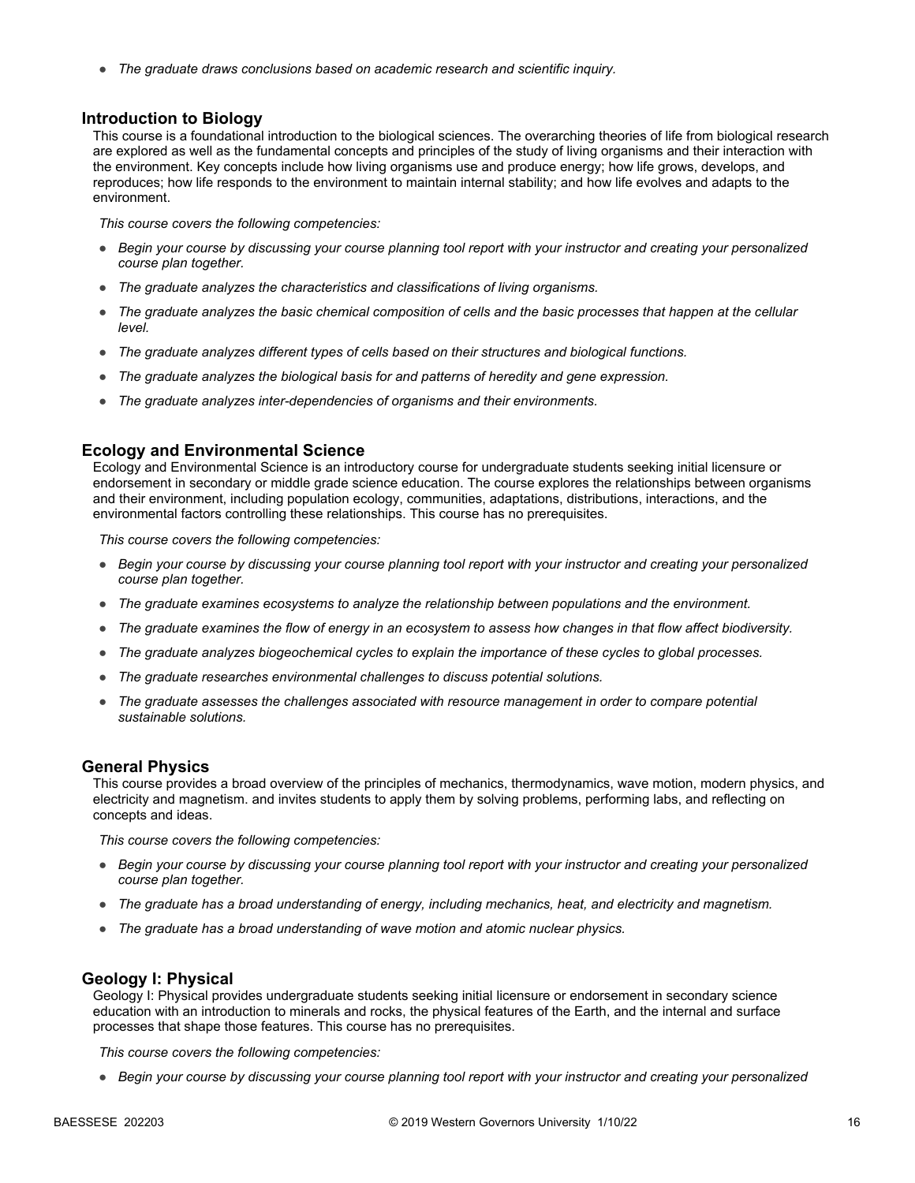● *The graduate draws conclusions based on academic research and scientific inquiry.*

#### **Introduction to Biology**

This course is a foundational introduction to the biological sciences. The overarching theories of life from biological research are explored as well as the fundamental concepts and principles of the study of living organisms and their interaction with the environment. Key concepts include how living organisms use and produce energy; how life grows, develops, and reproduces; how life responds to the environment to maintain internal stability; and how life evolves and adapts to the environment.

*This course covers the following competencies:*

- *Begin your course by discussing your course planning tool report with your instructor and creating your personalized course plan together.*
- *The graduate analyzes the characteristics and classifications of living organisms.*
- *The graduate analyzes the basic chemical composition of cells and the basic processes that happen at the cellular level.*
- *The graduate analyzes different types of cells based on their structures and biological functions.*
- *The graduate analyzes the biological basis for and patterns of heredity and gene expression.*
- *The graduate analyzes inter-dependencies of organisms and their environments.*

#### **Ecology and Environmental Science**

Ecology and Environmental Science is an introductory course for undergraduate students seeking initial licensure or endorsement in secondary or middle grade science education. The course explores the relationships between organisms and their environment, including population ecology, communities, adaptations, distributions, interactions, and the environmental factors controlling these relationships. This course has no prerequisites.

*This course covers the following competencies:*

- *Begin your course by discussing your course planning tool report with your instructor and creating your personalized course plan together.*
- *The graduate examines ecosystems to analyze the relationship between populations and the environment.*
- *The graduate examines the flow of energy in an ecosystem to assess how changes in that flow affect biodiversity.*
- *The graduate analyzes biogeochemical cycles to explain the importance of these cycles to global processes.*
- *The graduate researches environmental challenges to discuss potential solutions.*
- *The graduate assesses the challenges associated with resource management in order to compare potential sustainable solutions.*

#### **General Physics**

This course provides a broad overview of the principles of mechanics, thermodynamics, wave motion, modern physics, and electricity and magnetism. and invites students to apply them by solving problems, performing labs, and reflecting on concepts and ideas.

*This course covers the following competencies:*

- *Begin your course by discussing your course planning tool report with your instructor and creating your personalized course plan together.*
- *The graduate has a broad understanding of energy, including mechanics, heat, and electricity and magnetism.*
- *The graduate has a broad understanding of wave motion and atomic nuclear physics.*

#### **Geology I: Physical**

Geology I: Physical provides undergraduate students seeking initial licensure or endorsement in secondary science education with an introduction to minerals and rocks, the physical features of the Earth, and the internal and surface processes that shape those features. This course has no prerequisites.

*This course covers the following competencies:*

● *Begin your course by discussing your course planning tool report with your instructor and creating your personalized*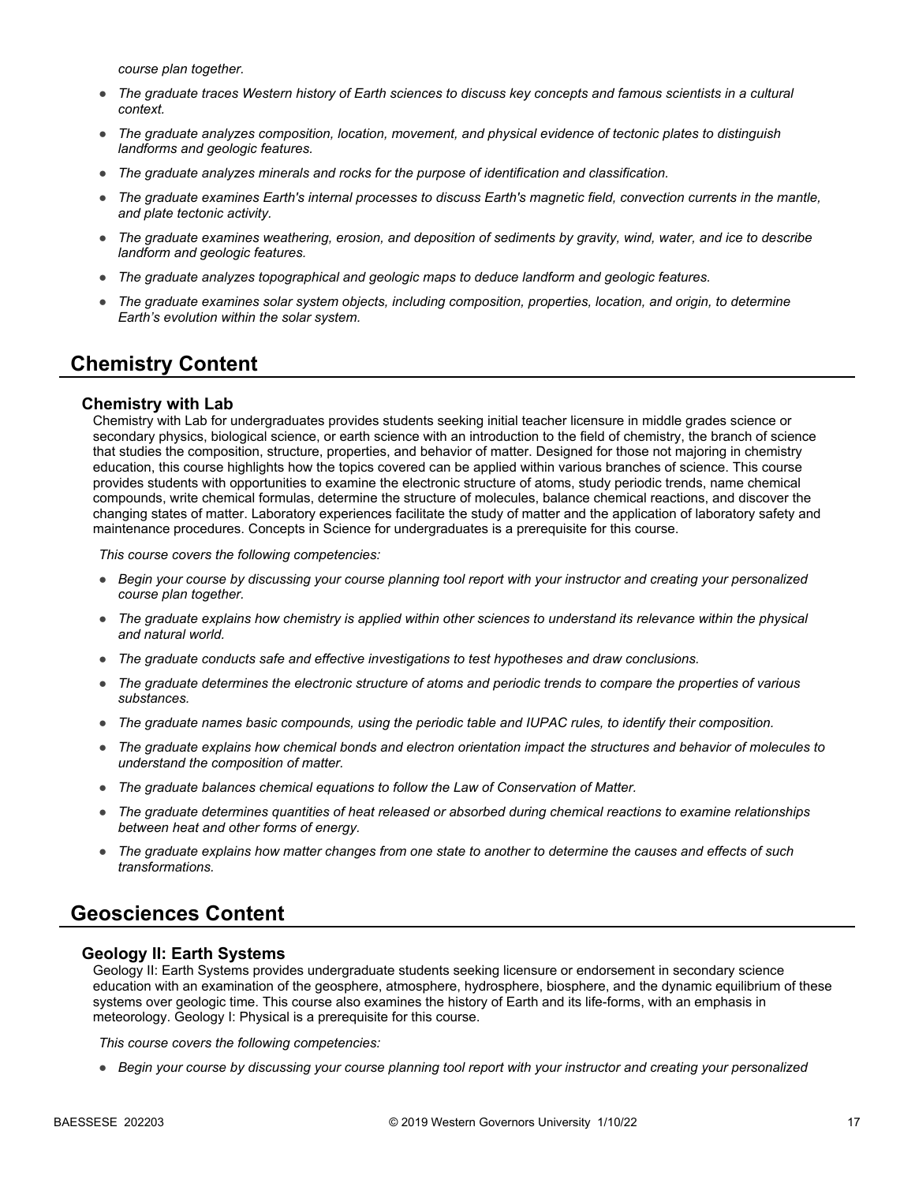*course plan together.*

- *The graduate traces Western history of Earth sciences to discuss key concepts and famous scientists in a cultural context.*
- *The graduate analyzes composition, location, movement, and physical evidence of tectonic plates to distinguish landforms and geologic features.*
- *The graduate analyzes minerals and rocks for the purpose of identification and classification.*
- *The graduate examines Earth's internal processes to discuss Earth's magnetic field, convection currents in the mantle, and plate tectonic activity.*
- *The graduate examines weathering, erosion, and deposition of sediments by gravity, wind, water, and ice to describe landform and geologic features.*
- *The graduate analyzes topographical and geologic maps to deduce landform and geologic features.*
- *The graduate examines solar system objects, including composition, properties, location, and origin, to determine Earth's evolution within the solar system.*

## **Chemistry Content**

#### **Chemistry with Lab**

Chemistry with Lab for undergraduates provides students seeking initial teacher licensure in middle grades science or secondary physics, biological science, or earth science with an introduction to the field of chemistry, the branch of science that studies the composition, structure, properties, and behavior of matter. Designed for those not majoring in chemistry education, this course highlights how the topics covered can be applied within various branches of science. This course provides students with opportunities to examine the electronic structure of atoms, study periodic trends, name chemical compounds, write chemical formulas, determine the structure of molecules, balance chemical reactions, and discover the changing states of matter. Laboratory experiences facilitate the study of matter and the application of laboratory safety and maintenance procedures. Concepts in Science for undergraduates is a prerequisite for this course.

*This course covers the following competencies:*

- *Begin your course by discussing your course planning tool report with your instructor and creating your personalized course plan together.*
- The graduate explains how chemistry is applied within other sciences to understand its relevance within the physical *and natural world.*
- *The graduate conducts safe and effective investigations to test hypotheses and draw conclusions.*
- *The graduate determines the electronic structure of atoms and periodic trends to compare the properties of various substances.*
- *The graduate names basic compounds, using the periodic table and IUPAC rules, to identify their composition.*
- *The graduate explains how chemical bonds and electron orientation impact the structures and behavior of molecules to understand the composition of matter.*
- *The graduate balances chemical equations to follow the Law of Conservation of Matter.*
- *The graduate determines quantities of heat released or absorbed during chemical reactions to examine relationships between heat and other forms of energy.*
- *The graduate explains how matter changes from one state to another to determine the causes and effects of such transformations.*

## **Geosciences Content**

#### **Geology II: Earth Systems**

Geology II: Earth Systems provides undergraduate students seeking licensure or endorsement in secondary science education with an examination of the geosphere, atmosphere, hydrosphere, biosphere, and the dynamic equilibrium of these systems over geologic time. This course also examines the history of Earth and its life-forms, with an emphasis in meteorology. Geology I: Physical is a prerequisite for this course.

*This course covers the following competencies:*

● *Begin your course by discussing your course planning tool report with your instructor and creating your personalized*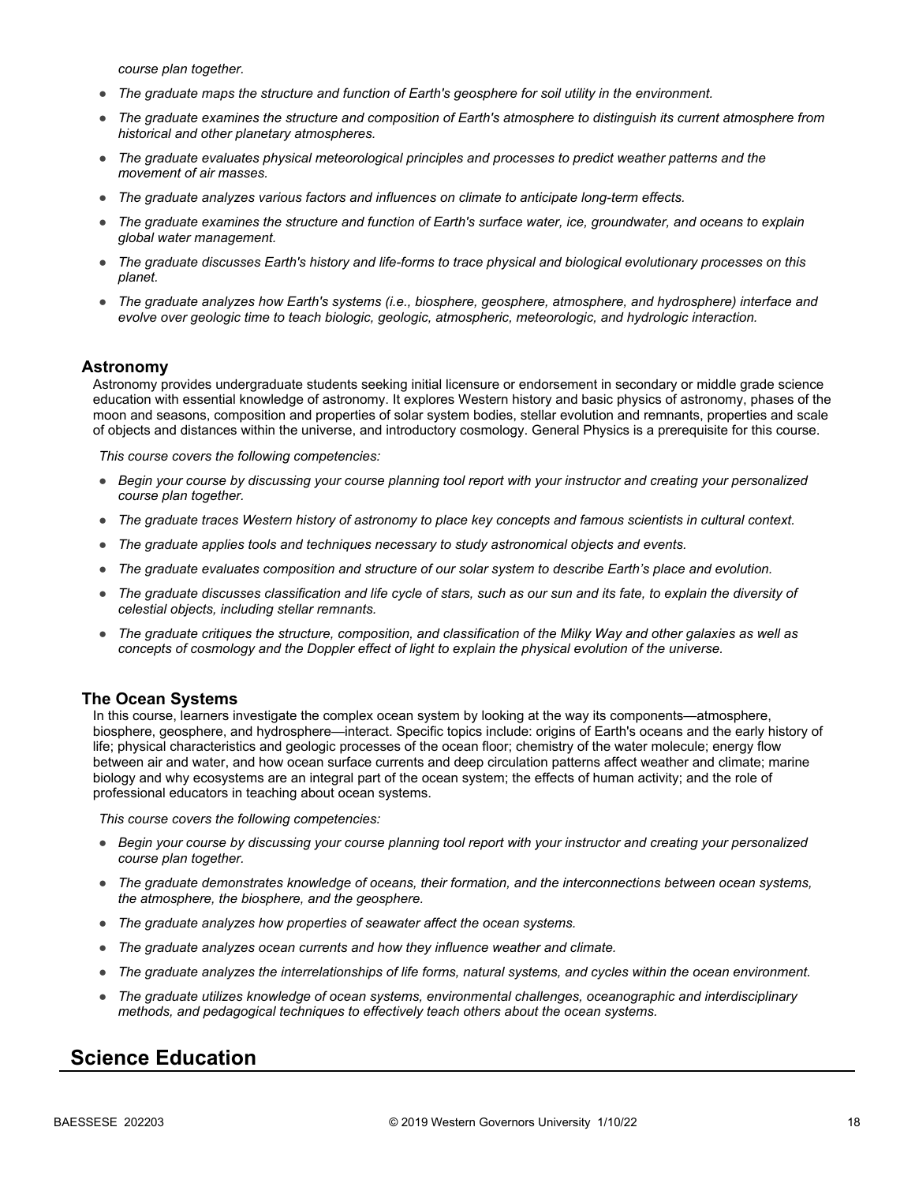*course plan together.*

- *The graduate maps the structure and function of Earth's geosphere for soil utility in the environment.*
- *The graduate examines the structure and composition of Earth's atmosphere to distinguish its current atmosphere from historical and other planetary atmospheres.*
- *The graduate evaluates physical meteorological principles and processes to predict weather patterns and the movement of air masses.*
- *The graduate analyzes various factors and influences on climate to anticipate long-term effects.*
- *The graduate examines the structure and function of Earth's surface water, ice, groundwater, and oceans to explain global water management.*
- *The graduate discusses Earth's history and life-forms to trace physical and biological evolutionary processes on this planet.*
- *The graduate analyzes how Earth's systems (i.e., biosphere, geosphere, atmosphere, and hydrosphere) interface and evolve over geologic time to teach biologic, geologic, atmospheric, meteorologic, and hydrologic interaction.*

#### **Astronomy**

Astronomy provides undergraduate students seeking initial licensure or endorsement in secondary or middle grade science education with essential knowledge of astronomy. It explores Western history and basic physics of astronomy, phases of the moon and seasons, composition and properties of solar system bodies, stellar evolution and remnants, properties and scale of objects and distances within the universe, and introductory cosmology. General Physics is a prerequisite for this course.

*This course covers the following competencies:*

- *Begin your course by discussing your course planning tool report with your instructor and creating your personalized course plan together.*
- *The graduate traces Western history of astronomy to place key concepts and famous scientists in cultural context.*
- *The graduate applies tools and techniques necessary to study astronomical objects and events.*
- *The graduate evaluates composition and structure of our solar system to describe Earth's place and evolution.*
- *The graduate discusses classification and life cycle of stars, such as our sun and its fate, to explain the diversity of celestial objects, including stellar remnants.*
- *The graduate critiques the structure, composition, and classification of the Milky Way and other galaxies as well as concepts of cosmology and the Doppler effect of light to explain the physical evolution of the universe.*

#### **The Ocean Systems**

In this course, learners investigate the complex ocean system by looking at the way its components—atmosphere, biosphere, geosphere, and hydrosphere—interact. Specific topics include: origins of Earth's oceans and the early history of life; physical characteristics and geologic processes of the ocean floor; chemistry of the water molecule; energy flow between air and water, and how ocean surface currents and deep circulation patterns affect weather and climate; marine biology and why ecosystems are an integral part of the ocean system; the effects of human activity; and the role of professional educators in teaching about ocean systems.

*This course covers the following competencies:*

- *Begin your course by discussing your course planning tool report with your instructor and creating your personalized course plan together.*
- *The graduate demonstrates knowledge of oceans, their formation, and the interconnections between ocean systems, the atmosphere, the biosphere, and the geosphere.*
- *The graduate analyzes how properties of seawater affect the ocean systems.*
- *The graduate analyzes ocean currents and how they influence weather and climate.*
- *The graduate analyzes the interrelationships of life forms, natural systems, and cycles within the ocean environment.*
- *The graduate utilizes knowledge of ocean systems, environmental challenges, oceanographic and interdisciplinary methods, and pedagogical techniques to effectively teach others about the ocean systems.*

## **Science Education**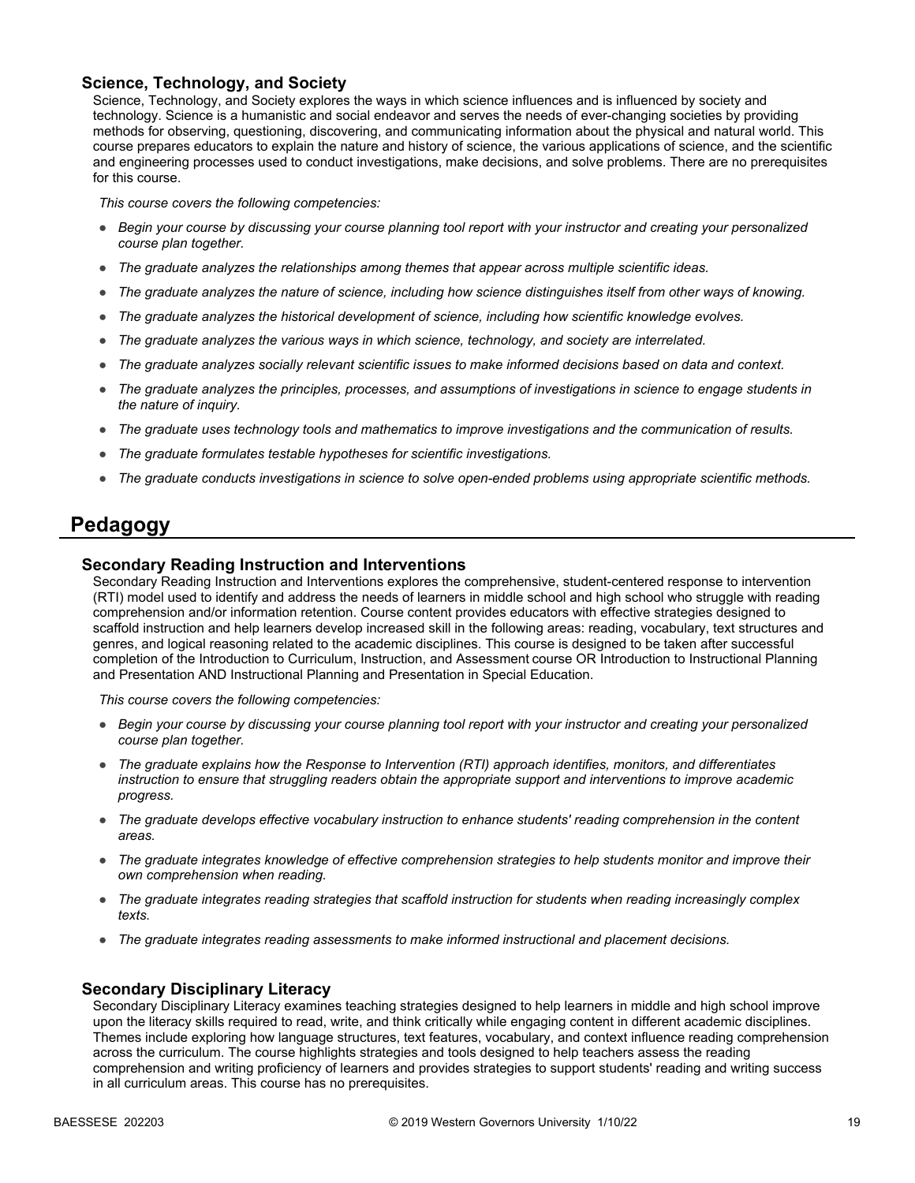#### **Science, Technology, and Society**

Science, Technology, and Society explores the ways in which science influences and is influenced by society and technology. Science is a humanistic and social endeavor and serves the needs of ever-changing societies by providing methods for observing, questioning, discovering, and communicating information about the physical and natural world. This course prepares educators to explain the nature and history of science, the various applications of science, and the scientific and engineering processes used to conduct investigations, make decisions, and solve problems. There are no prerequisites for this course.

*This course covers the following competencies:*

- *Begin your course by discussing your course planning tool report with your instructor and creating your personalized course plan together.*
- *The graduate analyzes the relationships among themes that appear across multiple scientific ideas.*
- *The graduate analyzes the nature of science, including how science distinguishes itself from other ways of knowing.*
- *The graduate analyzes the historical development of science, including how scientific knowledge evolves.*
- *The graduate analyzes the various ways in which science, technology, and society are interrelated.*
- *The graduate analyzes socially relevant scientific issues to make informed decisions based on data and context.*
- *The graduate analyzes the principles, processes, and assumptions of investigations in science to engage students in the nature of inquiry.*
- *The graduate uses technology tools and mathematics to improve investigations and the communication of results.*
- *The graduate formulates testable hypotheses for scientific investigations.*
- *The graduate conducts investigations in science to solve open-ended problems using appropriate scientific methods.*

### **Pedagogy**

#### **Secondary Reading Instruction and Interventions**

Secondary Reading Instruction and Interventions explores the comprehensive, student-centered response to intervention (RTI) model used to identify and address the needs of learners in middle school and high school who struggle with reading comprehension and/or information retention. Course content provides educators with effective strategies designed to scaffold instruction and help learners develop increased skill in the following areas: reading, vocabulary, text structures and genres, and logical reasoning related to the academic disciplines. This course is designed to be taken after successful completion of the Introduction to Curriculum, Instruction, and Assessment course OR Introduction to Instructional Planning and Presentation AND Instructional Planning and Presentation in Special Education.

*This course covers the following competencies:*

- *Begin your course by discussing your course planning tool report with your instructor and creating your personalized course plan together.*
- *The graduate explains how the Response to Intervention (RTI) approach identifies, monitors, and differentiates instruction to ensure that struggling readers obtain the appropriate support and interventions to improve academic progress.*
- *The graduate develops effective vocabulary instruction to enhance students' reading comprehension in the content areas.*
- *The graduate integrates knowledge of effective comprehension strategies to help students monitor and improve their own comprehension when reading.*
- *The graduate integrates reading strategies that scaffold instruction for students when reading increasingly complex texts.*
- *The graduate integrates reading assessments to make informed instructional and placement decisions.*

#### **Secondary Disciplinary Literacy**

Secondary Disciplinary Literacy examines teaching strategies designed to help learners in middle and high school improve upon the literacy skills required to read, write, and think critically while engaging content in different academic disciplines. Themes include exploring how language structures, text features, vocabulary, and context influence reading comprehension across the curriculum. The course highlights strategies and tools designed to help teachers assess the reading comprehension and writing proficiency of learners and provides strategies to support students' reading and writing success in all curriculum areas. This course has no prerequisites.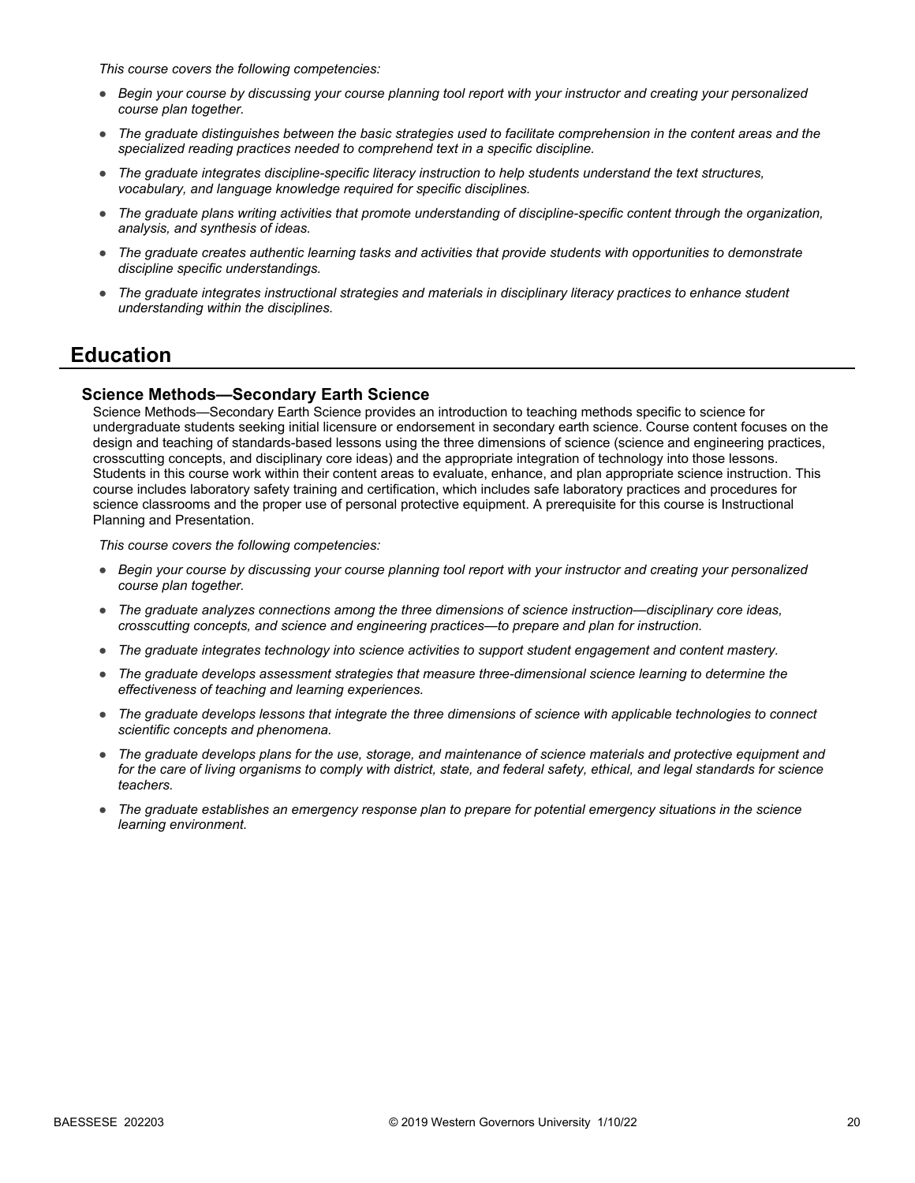*This course covers the following competencies:*

- *Begin your course by discussing your course planning tool report with your instructor and creating your personalized course plan together.*
- *The graduate distinguishes between the basic strategies used to facilitate comprehension in the content areas and the specialized reading practices needed to comprehend text in a specific discipline.*
- *The graduate integrates discipline-specific literacy instruction to help students understand the text structures, vocabulary, and language knowledge required for specific disciplines.*
- *The graduate plans writing activities that promote understanding of discipline-specific content through the organization, analysis, and synthesis of ideas.*
- *The graduate creates authentic learning tasks and activities that provide students with opportunities to demonstrate discipline specific understandings.*
- *The graduate integrates instructional strategies and materials in disciplinary literacy practices to enhance student understanding within the disciplines.*

### **Education**

#### **Science Methods—Secondary Earth Science**

Science Methods—Secondary Earth Science provides an introduction to teaching methods specific to science for undergraduate students seeking initial licensure or endorsement in secondary earth science. Course content focuses on the design and teaching of standards-based lessons using the three dimensions of science (science and engineering practices, crosscutting concepts, and disciplinary core ideas) and the appropriate integration of technology into those lessons. Students in this course work within their content areas to evaluate, enhance, and plan appropriate science instruction. This course includes laboratory safety training and certification, which includes safe laboratory practices and procedures for science classrooms and the proper use of personal protective equipment. A prerequisite for this course is Instructional Planning and Presentation.

- *Begin your course by discussing your course planning tool report with your instructor and creating your personalized course plan together.*
- *The graduate analyzes connections among the three dimensions of science instruction—disciplinary core ideas, crosscutting concepts, and science and engineering practices—to prepare and plan for instruction.*
- *The graduate integrates technology into science activities to support student engagement and content mastery.*
- *The graduate develops assessment strategies that measure three-dimensional science learning to determine the effectiveness of teaching and learning experiences.*
- *The graduate develops lessons that integrate the three dimensions of science with applicable technologies to connect scientific concepts and phenomena.*
- *The graduate develops plans for the use, storage, and maintenance of science materials and protective equipment and for the care of living organisms to comply with district, state, and federal safety, ethical, and legal standards for science teachers.*
- *The graduate establishes an emergency response plan to prepare for potential emergency situations in the science learning environment.*